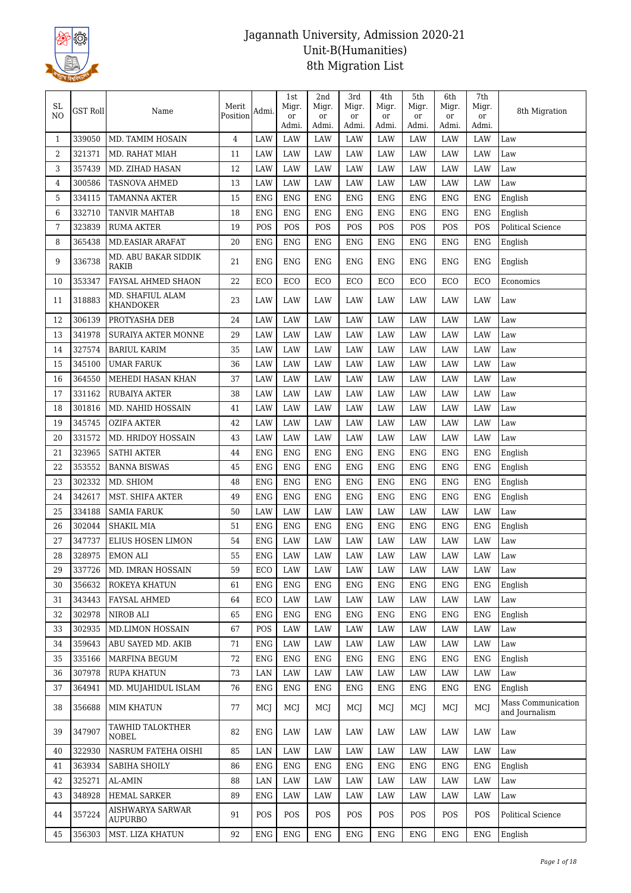

| SL<br>NO       | <b>GST Roll</b> | Name                                 | Merit<br>Position | Admi.      | 1st<br>Migr.<br>or | 2nd<br>Migr.<br>or | 3rd<br>Migr.<br>or | 4th<br>Migr.<br>or | 5th<br>Migr.<br>or | 6th<br>Migr.<br>or | 7th<br>Migr.<br>or | 8th Migration                        |
|----------------|-----------------|--------------------------------------|-------------------|------------|--------------------|--------------------|--------------------|--------------------|--------------------|--------------------|--------------------|--------------------------------------|
|                |                 |                                      |                   |            | Admi.              | Admi.              | Admi.              | Admi.              | Admi.              | Admi.              | Admi.              |                                      |
| $\mathbf{1}$   | 339050          | MD. TAMIM HOSAIN                     | $\overline{4}$    | LAW        | LAW                | <b>LAW</b>         | <b>LAW</b>         | LAW                | LAW                | <b>LAW</b>         | <b>LAW</b>         | Law                                  |
| 2              | 321371          | MD. RAHAT MIAH                       | 11                | LAW        | LAW                | LAW                | LAW                | LAW                | LAW                | LAW                | LAW                | Law                                  |
| 3              | 357439          | MD. ZIHAD HASAN                      | 12                | LAW        | <b>LAW</b>         | LAW                | LAW                | LAW                | LAW                | LAW                | LAW                | Law                                  |
| 4              | 300586          | <b>TASNOVA AHMED</b>                 | 13                | <b>LAW</b> | <b>LAW</b>         | LAW                | LAW                | LAW                | LAW                | LAW                | LAW                | Law                                  |
| 5              | 334115          | <b>TAMANNA AKTER</b>                 | 15                | <b>ENG</b> | <b>ENG</b>         | <b>ENG</b>         | <b>ENG</b>         | <b>ENG</b>         | <b>ENG</b>         | <b>ENG</b>         | <b>ENG</b>         | English                              |
| 6              | 332710          | TANVIR MAHTAB                        | 18                | <b>ENG</b> | <b>ENG</b>         | <b>ENG</b>         | ENG                | <b>ENG</b>         | <b>ENG</b>         | <b>ENG</b>         | <b>ENG</b>         | English                              |
| $\overline{7}$ | 323839          | <b>RUMA AKTER</b>                    | 19                | POS        | POS                | POS                | POS                | POS                | POS                | POS                | POS                | <b>Political Science</b>             |
| 8              | 365438          | <b>MD.EASIAR ARAFAT</b>              | 20                | <b>ENG</b> | <b>ENG</b>         | <b>ENG</b>         | <b>ENG</b>         | <b>ENG</b>         | <b>ENG</b>         | <b>ENG</b>         | <b>ENG</b>         | English                              |
| 9              | 336738          | MD. ABU BAKAR SIDDIK<br>RAKIB        | 21                | <b>ENG</b> | <b>ENG</b>         | <b>ENG</b>         | ENG                | <b>ENG</b>         | <b>ENG</b>         | <b>ENG</b>         | <b>ENG</b>         | English                              |
| 10             | 353347          | FAYSAL AHMED SHAON                   | 22                | ECO        | ECO                | ECO                | ECO                | ECO                | ECO                | ECO                | ECO                | Economics                            |
| 11             | 318883          | MD. SHAFIUL ALAM<br><b>KHANDOKER</b> | 23                | LAW        | LAW                | LAW                | LAW                | LAW                | LAW                | LAW                | LAW                | Law                                  |
| 12             | 306139          | PROTYASHA DEB                        | 24                | LAW        | LAW                | LAW                | LAW                | LAW                | LAW                | LAW                | LAW                | Law                                  |
| 13             | 341978          | <b>SURAIYA AKTER MONNE</b>           | 29                | LAW        | LAW                | LAW                | LAW                | LAW                | LAW                | LAW                | LAW                | Law                                  |
| 14             | 327574          | <b>BARIUL KARIM</b>                  | 35                | LAW        | LAW                | LAW                | LAW                | LAW                | LAW                | LAW                | LAW                | Law                                  |
| 15             | 345100          | <b>UMAR FARUK</b>                    | 36                | LAW        | <b>LAW</b>         | LAW                | LAW                | LAW                | LAW                | LAW                | LAW                | Law                                  |
| $16\,$         | 364550          | MEHEDI HASAN KHAN                    | 37                | LAW        | <b>LAW</b>         | LAW                | LAW                | LAW                | LAW                | LAW                | LAW                | Law                                  |
| 17             | 331162          | RUBAIYA AKTER                        | 38                | LAW        | LAW                | LAW                | LAW                | LAW                | LAW                | LAW                | LAW                | Law                                  |
| 18             | 301816          | MD. NAHID HOSSAIN                    | 41                | LAW        | LAW                | LAW                | LAW                | LAW                | LAW                | LAW                | LAW                | Law                                  |
| 19             | 345745          | <b>OZIFA AKTER</b>                   | 42                | LAW        | LAW                | LAW                | LAW                | <b>LAW</b>         | LAW                | <b>LAW</b>         | LAW                | Law                                  |
| 20             | 331572          | MD. HRIDOY HOSSAIN                   | 43                | LAW        | <b>LAW</b>         | LAW                | LAW                | LAW                | LAW                | <b>LAW</b>         | <b>LAW</b>         | Law                                  |
| 21             | 323965          | <b>SATHI AKTER</b>                   | 44                | <b>ENG</b> | <b>ENG</b>         | <b>ENG</b>         | <b>ENG</b>         | <b>ENG</b>         | <b>ENG</b>         | <b>ENG</b>         | <b>ENG</b>         | English                              |
| 22             | 353552          | <b>BANNA BISWAS</b>                  | 45                | <b>ENG</b> | <b>ENG</b>         | <b>ENG</b>         | <b>ENG</b>         | <b>ENG</b>         | <b>ENG</b>         | <b>ENG</b>         | <b>ENG</b>         | English                              |
| 23             | 302332          | MD. SHIOM                            | 48                | <b>ENG</b> | <b>ENG</b>         | ENG                | <b>ENG</b>         | <b>ENG</b>         | <b>ENG</b>         | <b>ENG</b>         | <b>ENG</b>         | English                              |
| 24             | 342617          | MST. SHIFA AKTER                     | 49                | <b>ENG</b> | <b>ENG</b>         | <b>ENG</b>         | ENG                | <b>ENG</b>         | <b>ENG</b>         | <b>ENG</b>         | <b>ENG</b>         | English                              |
| 25             | 334188          | <b>SAMIA FARUK</b>                   | 50                | LAW        | LAW                | LAW                | LAW                | LAW                | LAW                | LAW                | <b>LAW</b>         | Law                                  |
| 26             | 302044          | <b>SHAKIL MIA</b>                    | 51                | <b>ENG</b> | <b>ENG</b>         | <b>ENG</b>         | <b>ENG</b>         | <b>ENG</b>         | <b>ENG</b>         | <b>ENG</b>         | <b>ENG</b>         | English                              |
| 27             | 347737          | ELIUS HOSEN LIMON                    | 54                | <b>ENG</b> | LAW                | LAW                | LAW                | LAW                | LAW                | LAW                | LAW                | Law                                  |
| 28             | 328975          | <b>EMON ALI</b>                      | 55                | <b>ENG</b> | LAW                | LAW                | LAW                | LAW                | LAW                | LAW                | LAW                | $\operatorname{Law}$                 |
| 29             | 337726          | MD. IMRAN HOSSAIN                    | 59                | ECO        | LAW                | LAW                | LAW                | LAW                | LAW                | <b>LAW</b>         | LAW                | Law                                  |
| 30             | 356632          | ROKEYA KHATUN                        | 61                | <b>ENG</b> | <b>ENG</b>         | <b>ENG</b>         | ${\rm ENG}$        | <b>ENG</b>         | <b>ENG</b>         | <b>ENG</b>         | <b>ENG</b>         | English                              |
| 31             | 343443          | FAYSAL AHMED                         | 64                | ECO        | LAW                | LAW                | LAW                | LAW                | LAW                | LAW                | LAW                | Law                                  |
| 32             | 302978          | NIROB ALI                            | 65                | ENG        | <b>ENG</b>         | ENG                | ENG                | <b>ENG</b>         | <b>ENG</b>         | <b>ENG</b>         | ENG                | English                              |
| 33             | 302935          | <b>MD.LIMON HOSSAIN</b>              | 67                | <b>POS</b> | LAW                | LAW                | LAW                | LAW                | LAW                | LAW                | LAW                | Law                                  |
| 34             | 359643          | ABU SAYED MD. AKIB                   | 71                | <b>ENG</b> | LAW                | LAW                | LAW                | LAW                | LAW                | LAW                | LAW                | Law                                  |
| 35             | 335166          | MARFINA BEGUM                        | $72\,$            | <b>ENG</b> | <b>ENG</b>         | <b>ENG</b>         | <b>ENG</b>         | <b>ENG</b>         | <b>ENG</b>         | <b>ENG</b>         | <b>ENG</b>         | English                              |
| 36             | 307978          | <b>RUPA KHATUN</b>                   | 73                | LAN        | LAW                | LAW                | LAW                | LAW                | LAW                | LAW                | LAW                | Law                                  |
| 37             | 364941          | MD. MUJAHIDUL ISLAM                  | 76                | <b>ENG</b> | <b>ENG</b>         | <b>ENG</b>         | ENG                | ENG                | <b>ENG</b>         | ENG                | ENG                | English                              |
| 38             | 356688          | <b>MIM KHATUN</b>                    | 77                | MCJ        | MCI                | MCJ                | MCJ                | MCJ                | MCJ                | MCJ                | MCJ                | Mass Communication<br>and Journalism |
| 39             | 347907          | TAWHID TALOKTHER<br>NOBEL            | 82                | <b>ENG</b> | LAW                | LAW                | LAW                | LAW                | LAW                | LAW                | LAW                | Law                                  |
| 40             | 322930          | NASRUM FATEHA OISHI                  | 85                | LAN        | LAW                | LAW                | LAW                | LAW                | LAW                | LAW                | LAW                | Law                                  |
| 41             | 363934          | SABIHA SHOILY                        | 86                | <b>ENG</b> | <b>ENG</b>         | <b>ENG</b>         | ENG                | <b>ENG</b>         | <b>ENG</b>         | <b>ENG</b>         | <b>ENG</b>         | English                              |
| 42             | 325271          | <b>AL-AMIN</b>                       | 88                | LAN        | LAW                | LAW                | LAW                | LAW                | LAW                | LAW                | LAW                | Law                                  |
| 43             | 348928          | HEMAL SARKER                         | 89                | <b>ENG</b> | LAW                | LAW                | LAW                | LAW                | LAW                | LAW                | LAW                | Law                                  |
| 44             | 357224          | AISHWARYA SARWAR<br>AUPURBO          | 91                | POS        | POS                | POS                | POS                | POS                | POS                | POS                | POS                | Political Science                    |
| 45             | 356303          | MST. LIZA KHATUN                     | 92                | ENG        | ENG                | <b>ENG</b>         | ENG                | <b>ENG</b>         | ENG                | ENG                | ENG                | English                              |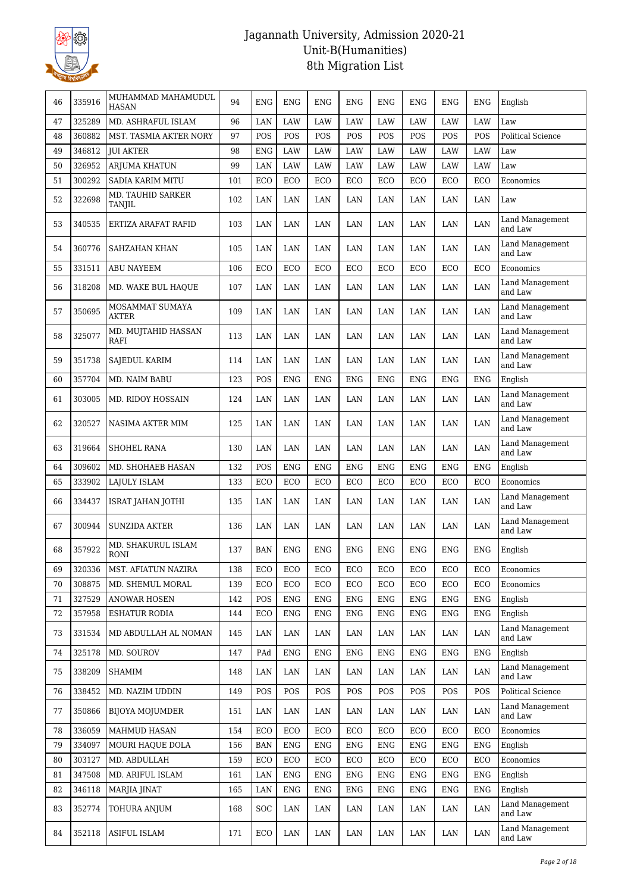

| 46 | 335916 | MUHAMMAD MAHAMUDUL<br><b>HASAN</b> | 94  | <b>ENG</b> | <b>ENG</b> | <b>ENG</b> | ENG        | <b>ENG</b> | <b>ENG</b> | <b>ENG</b> | ENG        | English                    |
|----|--------|------------------------------------|-----|------------|------------|------------|------------|------------|------------|------------|------------|----------------------------|
| 47 | 325289 | MD. ASHRAFUL ISLAM                 | 96  | LAN        | LAW        | LAW        | LAW        | LAW        | LAW        | LAW        | LAW        | Law                        |
| 48 | 360882 | MST. TASMIA AKTER NORY             | 97  | POS        | POS        | POS        | POS        | POS        | POS        | POS        | POS        | <b>Political Science</b>   |
| 49 | 346812 | <b>JUI AKTER</b>                   | 98  | <b>ENG</b> | LAW        | LAW        | LAW        | <b>LAW</b> | LAW        | <b>LAW</b> | LAW        | Law                        |
| 50 | 326952 | ARJUMA KHATUN                      | 99  | LAN        | LAW        | LAW        | LAW        | LAW        | LAW        | LAW        | LAW        | Law                        |
| 51 | 300292 | SADIA KARIM MITU                   | 101 | ECO        | ECO        | ECO        | ECO        | ECO        | ECO        | ECO        | ECO        | Economics                  |
| 52 | 322698 | MD. TAUHID SARKER<br><b>TANJIL</b> | 102 | LAN        | LAN        | LAN        | LAN        | LAN        | LAN        | LAN        | LAN        | Law                        |
| 53 | 340535 | ERTIZA ARAFAT RAFID                | 103 | LAN        | LAN        | LAN        | LAN        | LAN        | LAN        | LAN        | LAN        | Land Management<br>and Law |
| 54 | 360776 | SAHZAHAN KHAN                      | 105 | LAN        | LAN        | LAN        | LAN        | LAN        | LAN        | LAN        | LAN        | Land Management<br>and Law |
| 55 | 331511 | <b>ABU NAYEEM</b>                  | 106 | ECO        | ECO        | ECO        | ECO        | ECO        | <b>ECO</b> | ECO        | ECO        | Economics                  |
| 56 | 318208 | MD. WAKE BUL HAQUE                 | 107 | LAN        | LAN        | LAN        | LAN        | LAN        | LAN        | LAN        | LAN        | Land Management<br>and Law |
| 57 | 350695 | MOSAMMAT SUMAYA<br><b>AKTER</b>    | 109 | LAN        | LAN        | LAN        | LAN        | LAN        | LAN        | LAN        | LAN        | Land Management<br>and Law |
| 58 | 325077 | MD. MUJTAHID HASSAN<br>RAFI        | 113 | LAN        | LAN        | LAN        | LAN        | LAN        | LAN        | LAN        | LAN        | Land Management<br>and Law |
| 59 | 351738 | SAJEDUL KARIM                      | 114 | LAN        | LAN        | LAN        | LAN        | LAN        | LAN        | LAN        | LAN        | Land Management<br>and Law |
| 60 | 357704 | MD. NAIM BABU                      | 123 | POS        | <b>ENG</b> | <b>ENG</b> | <b>ENG</b> | <b>ENG</b> | <b>ENG</b> | <b>ENG</b> | <b>ENG</b> | English                    |
| 61 | 303005 | MD. RIDOY HOSSAIN                  | 124 | LAN        | LAN        | LAN        | LAN        | LAN        | LAN        | LAN        | LAN        | Land Management<br>and Law |
| 62 | 320527 | NASIMA AKTER MIM                   | 125 | LAN        | LAN        | LAN        | LAN        | LAN        | LAN        | LAN        | LAN        | Land Management<br>and Law |
| 63 | 319664 | <b>SHOHEL RANA</b>                 | 130 | LAN        | LAN        | LAN        | LAN        | LAN        | LAN        | LAN        | LAN        | Land Management<br>and Law |
| 64 | 309602 | MD. SHOHAEB HASAN                  | 132 | POS        | <b>ENG</b> | <b>ENG</b> | <b>ENG</b> | <b>ENG</b> | <b>ENG</b> | <b>ENG</b> | <b>ENG</b> | English                    |
| 65 | 333902 | LAJULY ISLAM                       | 133 | ECO        | ECO        | ECO        | ECO        | ECO        | ECO        | ECO        | ECO        | Economics                  |
| 66 | 334437 | ISRAT JAHAN JOTHI                  | 135 | LAN        | LAN        | LAN        | LAN        | LAN        | LAN        | LAN        | LAN        | Land Management<br>and Law |
| 67 | 300944 | <b>SUNZIDA AKTER</b>               | 136 | LAN        | LAN        | LAN        | LAN        | LAN        | LAN        | LAN        | LAN        | Land Management<br>and Law |
| 68 | 357922 | MD. SHAKURUL ISLAM<br><b>RONI</b>  | 137 | <b>BAN</b> | <b>ENG</b> | <b>ENG</b> | <b>ENG</b> | <b>ENG</b> | <b>ENG</b> | <b>ENG</b> | <b>ENG</b> | English                    |
| 69 | 320336 | MST. AFIATUN NAZIRA                | 138 | ECO        | ECO        | ECO        | ECO        | ECO        | ECO        | ECO        | ECO        | Economics                  |
| 70 | 308875 | MD. SHEMUL MORAL                   | 139 | ECO        | ECO        | ECO        | ECO        | ECO        | ECO        | ECO        | ECO        | Economics                  |
| 71 | 327529 | <b>ANOWAR HOSEN</b>                | 142 | POS        | <b>ENG</b> | <b>ENG</b> | <b>ENG</b> | <b>ENG</b> | <b>ENG</b> | <b>ENG</b> | <b>ENG</b> | English                    |
| 72 | 357958 | <b>ESHATUR RODIA</b>               | 144 | ECO        | <b>ENG</b> | <b>ENG</b> | <b>ENG</b> | <b>ENG</b> | <b>ENG</b> | <b>ENG</b> | <b>ENG</b> | English                    |
| 73 | 331534 | MD ABDULLAH AL NOMAN               | 145 | LAN        | LAN        | LAN        | LAN        | LAN        | LAN        | LAN        | LAN        | Land Management<br>and Law |
| 74 | 325178 | MD. SOUROV                         | 147 | PAd        | <b>ENG</b> | <b>ENG</b> | <b>ENG</b> | ENG        | <b>ENG</b> | ENG        | <b>ENG</b> | English                    |
| 75 | 338209 | SHAMIM                             | 148 | LAN        | LAN        | LAN        | LAN        | LAN        | LAN        | LAN        | LAN        | Land Management<br>and Law |
| 76 | 338452 | MD. NAZIM UDDIN                    | 149 | POS        | POS        | POS        | POS        | POS        | POS        | POS        | POS        | Political Science          |
| 77 | 350866 | BIJOYA MOJUMDER                    | 151 | LAN        | LAN        | LAN        | LAN        | LAN        | LAN        | LAN        | LAN        | Land Management<br>and Law |
| 78 | 336059 | MAHMUD HASAN                       | 154 | ECO        | ECO        | ECO        | ECO        | ECO        | ECO        | ECO        | ECO        | Economics                  |
| 79 | 334097 | MOURI HAQUE DOLA                   | 156 | <b>BAN</b> | <b>ENG</b> | <b>ENG</b> | <b>ENG</b> | <b>ENG</b> | <b>ENG</b> | <b>ENG</b> | <b>ENG</b> | English                    |
| 80 | 303127 | MD. ABDULLAH                       | 159 | ECO        | ECO        | ECO        | ECO        | ECO        | ECO        | ECO        | ECO        | Economics                  |
| 81 | 347508 | MD. ARIFUL ISLAM                   | 161 | LAN        | <b>ENG</b> | <b>ENG</b> | <b>ENG</b> | <b>ENG</b> | <b>ENG</b> | ENG        | <b>ENG</b> | English                    |
| 82 | 346118 | MARJIA JINAT                       | 165 | LAN        | <b>ENG</b> | <b>ENG</b> | ENG        | <b>ENG</b> | <b>ENG</b> | <b>ENG</b> | <b>ENG</b> | English                    |
| 83 | 352774 | TOHURA ANJUM                       | 168 | <b>SOC</b> | LAN        | LAN        | LAN        | LAN        | LAN        | LAN        | LAN        | Land Management<br>and Law |
| 84 | 352118 | <b>ASIFUL ISLAM</b>                | 171 | ECO        | LAN        | LAN        | LAN        | LAN        | LAN        | LAN        | LAN        | Land Management<br>and Law |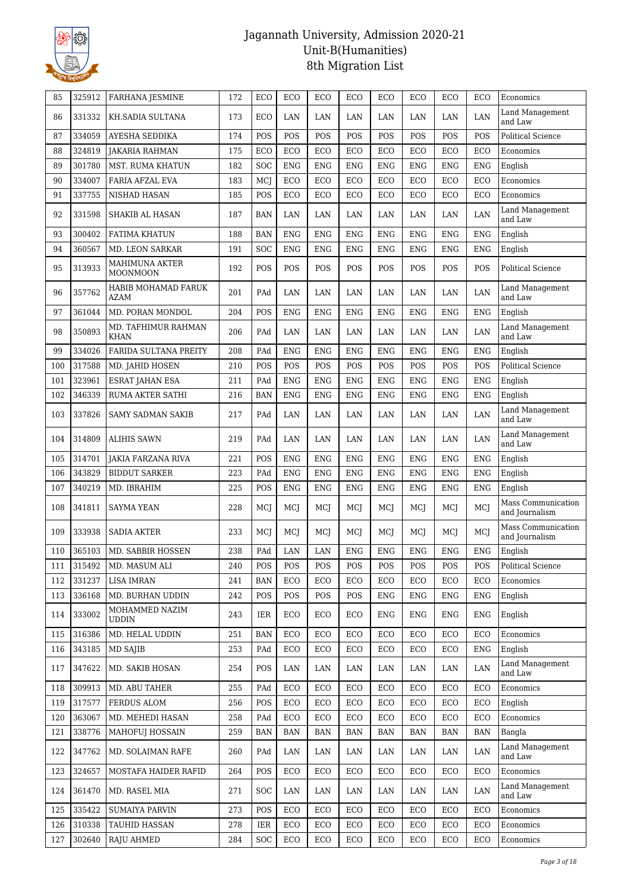

| 85  | 325912 | <b>FARHANA JESMINE</b>                   | 172 | ECO        | ECO        | ECO        | ECO        | ECO        | ECO        | ECO        | ECO        | Economics                            |
|-----|--------|------------------------------------------|-----|------------|------------|------------|------------|------------|------------|------------|------------|--------------------------------------|
| 86  | 331332 | KH.SADIA SULTANA                         | 173 | ECO        | LAN        | LAN        | LAN        | LAN        | LAN        | LAN        | LAN        | <b>Land Management</b><br>and Law    |
| 87  | 334059 | AYESHA SEDDIKA                           | 174 | POS        | POS        | POS        | POS        | POS        | POS        | POS        | POS        | <b>Political Science</b>             |
| 88  | 324819 | <b>JAKARIA RAHMAN</b>                    | 175 | ECO        | ECO        | ECO        | ECO        | ECO        | ECO        | ECO        | ECO        | Economics                            |
| 89  | 301780 | <b>MST. RUMA KHATUN</b>                  | 182 | SOC        | <b>ENG</b> | <b>ENG</b> | <b>ENG</b> | <b>ENG</b> | <b>ENG</b> | <b>ENG</b> | <b>ENG</b> | English                              |
| 90  | 334007 | FARIA AFZAL EVA                          | 183 | MCJ        | ECO        | ECO        | ECO        | ECO        | ECO        | ECO        | ECO        | Economics                            |
| 91  | 337755 | NISHAD HASAN                             | 185 | POS        | ECO        | ECO        | ECO        | ECO        | ECO        | ECO        | ECO        | Economics                            |
| 92  | 331598 | SHAKIB AL HASAN                          | 187 | <b>BAN</b> | LAN        | LAN        | LAN        | LAN        | LAN        | LAN        | LAN        | Land Management<br>and Law           |
| 93  | 300402 | FATIMA KHATUN                            | 188 | <b>BAN</b> | <b>ENG</b> | <b>ENG</b> | <b>ENG</b> | <b>ENG</b> | <b>ENG</b> | <b>ENG</b> | <b>ENG</b> | English                              |
| 94  | 360567 | MD. LEON SARKAR                          | 191 | SOC        | <b>ENG</b> | <b>ENG</b> | <b>ENG</b> | <b>ENG</b> | <b>ENG</b> | <b>ENG</b> | <b>ENG</b> | English                              |
| 95  | 313933 | <b>MAHIMUNA AKTER</b><br><b>MOONMOON</b> | 192 | POS        | POS        | POS        | POS        | POS        | POS        | POS        | POS        | <b>Political Science</b>             |
| 96  | 357762 | HABIB MOHAMAD FARUK<br><b>AZAM</b>       | 201 | PAd        | LAN        | LAN        | LAN        | LAN        | LAN        | LAN        | LAN        | <b>Land Management</b><br>and Law    |
| 97  | 361044 | MD. PORAN MONDOL                         | 204 | POS        | <b>ENG</b> | ENG        | <b>ENG</b> | <b>ENG</b> | <b>ENG</b> | <b>ENG</b> | <b>ENG</b> | English                              |
| 98  | 350893 | MD. TAFHIMUR RAHMAN<br><b>KHAN</b>       | 206 | PAd        | LAN        | LAN        | LAN        | LAN        | LAN        | LAN        | LAN        | Land Management<br>and Law           |
| 99  | 334026 | FARIDA SULTANA PREITY                    | 208 | PAd        | <b>ENG</b> | <b>ENG</b> | <b>ENG</b> | <b>ENG</b> | <b>ENG</b> | <b>ENG</b> | <b>ENG</b> | English                              |
| 100 | 317588 | MD. JAHID HOSEN                          | 210 | POS        | POS        | POS        | POS        | POS        | POS        | POS        | POS        | <b>Political Science</b>             |
| 101 | 323961 | <b>ESRAT JAHAN ESA</b>                   | 211 | PAd        | <b>ENG</b> | <b>ENG</b> | <b>ENG</b> | <b>ENG</b> | <b>ENG</b> | <b>ENG</b> | <b>ENG</b> | English                              |
| 102 | 346339 | RUMA AKTER SATHI                         | 216 | <b>BAN</b> | <b>ENG</b> | <b>ENG</b> | ENG        | <b>ENG</b> | <b>ENG</b> | <b>ENG</b> | <b>ENG</b> | English                              |
| 103 | 337826 | <b>SAMY SADMAN SAKIB</b>                 | 217 | PAd        | LAN        | LAN        | LAN        | LAN        | LAN        | LAN        | LAN        | Land Management<br>and Law           |
| 104 | 314809 | <b>ALIHIS SAWN</b>                       | 219 | PAd        | LAN        | LAN        | LAN        | LAN        | LAN        | LAN        | LAN        | Land Management<br>and Law           |
| 105 | 314701 | <b>JAKIA FARZANA RIVA</b>                | 221 | POS        | <b>ENG</b> | <b>ENG</b> | <b>ENG</b> | <b>ENG</b> | <b>ENG</b> | <b>ENG</b> | <b>ENG</b> | English                              |
| 106 | 343829 | <b>BIDDUT SARKER</b>                     | 223 | PAd        | <b>ENG</b> | <b>ENG</b> | <b>ENG</b> | <b>ENG</b> | <b>ENG</b> | <b>ENG</b> | <b>ENG</b> | English                              |
| 107 | 340219 | MD. IBRAHIM                              | 225 | POS        | <b>ENG</b> | <b>ENG</b> | <b>ENG</b> | <b>ENG</b> | <b>ENG</b> | <b>ENG</b> | <b>ENG</b> | English                              |
| 108 | 341811 | <b>SAYMA YEAN</b>                        | 228 | MCJ        | MCJ        | MCJ        | MCJ        | MCJ        | MCJ        | MCJ        | MCJ        | Mass Communication<br>and Journalism |
| 109 | 333938 | <b>SADIA AKTER</b>                       | 233 | MCJ        | MCJ        | MCI        | MCI        | MCJ        | MCJ        | MCJ        | MCJ        | Mass Communication<br>and Journalism |
| 110 | 365103 | MD. SABBIR HOSSEN                        | 238 | PAd        | LAN        | LAN        | ENG        | <b>ENG</b> | <b>ENG</b> | <b>ENG</b> | <b>ENG</b> | English                              |
| 111 | 315492 | MD. MASUM ALI                            | 240 | POS        | POS        | POS        | POS        | POS        | POS        | POS        | POS        | Political Science                    |
| 112 | 331237 | <b>LISA IMRAN</b>                        | 241 | <b>BAN</b> | ECO        | ECO        | ECO        | ECO        | ECO        | ECO        | ECO        | Economics                            |
| 113 | 336168 | MD. BURHAN UDDIN                         | 242 | POS        | POS        | POS        | POS        | <b>ENG</b> | <b>ENG</b> | <b>ENG</b> | <b>ENG</b> | English                              |
| 114 | 333002 | MOHAMMED NAZIM<br><b>UDDIN</b>           | 243 | IER        | ECO        | ECO        | ECO        | <b>ENG</b> | ENG        | ENG        | <b>ENG</b> | English                              |
| 115 | 316386 | MD. HELAL UDDIN                          | 251 | <b>BAN</b> | ECO        | ECO        | ECO        | ECO        | ECO        | ECO        | ECO        | Economics                            |
| 116 | 343185 | MD SAJIB                                 | 253 | PAd        | ECO        | ECO        | ECO        | ECO        | ECO        | ECO        | <b>ENG</b> | English                              |
| 117 | 347622 | MD. SAKIB HOSAN                          | 254 | POS        | LAN        | LAN        | LAN        | LAN        | LAN        | LAN        | LAN        | Land Management<br>and Law           |
| 118 | 309913 | MD. ABU TAHER                            | 255 | PAd        | ECO        | ECO        | ECO        | ECO        | ECO        | ECO        | ECO        | Economics                            |
| 119 | 317577 | FERDUS ALOM                              | 256 | POS        | ECO        | ECO        | ECO        | ECO        | ECO        | ECO        | ECO        | English                              |
| 120 | 363067 | MD. MEHEDI HASAN                         | 258 | PAd        | ECO        | ECO        | ECO        | ECO        | ECO        | ECO        | ECO        | Economics                            |
| 121 | 338776 | <b>MAHOFUJ HOSSAIN</b>                   | 259 | <b>BAN</b> | <b>BAN</b> | BAN        | BAN        | BAN        | BAN        | <b>BAN</b> | <b>BAN</b> | Bangla                               |
| 122 | 347762 | MD. SOLAIMAN RAFE                        | 260 | PAd        | LAN        | LAN        | LAN        | LAN        | LAN        | LAN        | LAN        | Land Management<br>and Law           |
| 123 | 324657 | MOSTAFA HAIDER RAFID                     | 264 | POS        | ECO        | ECO        | ECO        | ECO        | ECO        | ECO        | ECO        | Economics                            |
| 124 | 361470 | MD. RASEL MIA                            | 271 | <b>SOC</b> | LAN        | LAN        | LAN        | LAN        | LAN        | LAN        | LAN        | Land Management<br>and Law           |
| 125 | 335422 | <b>SUMAIYA PARVIN</b>                    | 273 | POS        | ECO        | ECO        | ECO        | ECO        | ECO        | ECO        | ECO        | Economics                            |
| 126 | 310338 | <b>TAUHID HASSAN</b>                     | 278 | IER        | ECO        | ECO        | ECO        | ECO        | ECO        | ECO        | ECO        | Economics                            |
| 127 | 302640 | <b>RAJU AHMED</b>                        | 284 | SOC        | ECO        | ECO        | ECO        | ECO        | ECO        | ECO        | ECO        | Economics                            |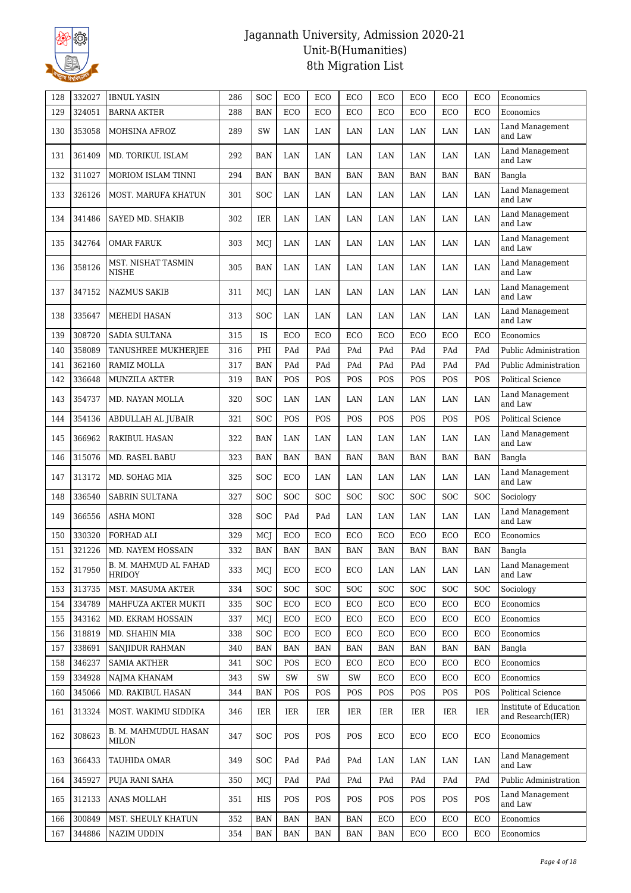

| 128 | 332027 | <b>IBNUL YASIN</b>                   | 286 | SOC        | ECO        | ECO        | ECO        | ECO        | ECO        | ECO        | ECO        | Economics                                   |
|-----|--------|--------------------------------------|-----|------------|------------|------------|------------|------------|------------|------------|------------|---------------------------------------------|
| 129 | 324051 | <b>BARNA AKTER</b>                   | 288 | <b>BAN</b> | ECO        | ECO        | ECO        | ECO        | ECO        | ECO        | ECO        | Economics                                   |
| 130 | 353058 | MOHSINA AFROZ                        | 289 | SW         | LAN        | LAN        | LAN        | LAN        | LAN        | LAN        | LAN        | Land Management<br>and Law                  |
| 131 | 361409 | MD. TORIKUL ISLAM                    | 292 | <b>BAN</b> | LAN        | LAN        | LAN        | LAN        | LAN        | LAN        | LAN        | Land Management<br>and Law                  |
| 132 | 311027 | MORIOM ISLAM TINNI                   | 294 | <b>BAN</b> | <b>BAN</b> | <b>BAN</b> | <b>BAN</b> | <b>BAN</b> | <b>BAN</b> | <b>BAN</b> | <b>BAN</b> | Bangla                                      |
| 133 | 326126 | MOST. MARUFA KHATUN                  | 301 | SOC        | LAN        | LAN        | LAN        | LAN        | LAN        | LAN        | LAN        | Land Management<br>and Law                  |
| 134 | 341486 | SAYED MD. SHAKIB                     | 302 | IER        | LAN        | LAN        | LAN        | LAN        | LAN        | LAN        | LAN        | Land Management<br>and Law                  |
| 135 | 342764 | <b>OMAR FARUK</b>                    | 303 | MCJ        | LAN        | LAN        | LAN        | LAN        | LAN        | LAN        | LAN        | Land Management<br>and Law                  |
| 136 | 358126 | MST. NISHAT TASMIN<br>NISHE          | 305 | <b>BAN</b> | LAN        | LAN        | LAN        | LAN        | LAN        | LAN        | LAN        | Land Management<br>and Law                  |
| 137 | 347152 | <b>NAZMUS SAKIB</b>                  | 311 | MCJ        | LAN        | LAN        | LAN        | LAN        | LAN        | LAN        | LAN        | Land Management<br>and Law                  |
| 138 | 335647 | MEHEDI HASAN                         | 313 | <b>SOC</b> | LAN        | LAN        | LAN        | LAN        | LAN        | LAN        | LAN        | Land Management<br>and Law                  |
| 139 | 308720 | <b>SADIA SULTANA</b>                 | 315 | IS         | ECO        | ECO        | ECO        | ECO        | ECO        | ECO        | ECO        | Economics                                   |
| 140 | 358089 | TANUSHREE MUKHERJEE                  | 316 | PHI        | PAd        | PAd        | PAd        | PAd        | PAd        | PAd        | PAd        | Public Administration                       |
| 141 | 362160 | RAMIZ MOLLA                          | 317 | <b>BAN</b> | PAd        | PAd        | PAd        | PAd        | PAd        | PAd        | PAd        | Public Administration                       |
| 142 | 336648 | <b>MUNZILA AKTER</b>                 | 319 | <b>BAN</b> | POS        | POS        | POS        | POS        | POS        | <b>POS</b> | POS        | Political Science                           |
| 143 | 354737 | MD. NAYAN MOLLA                      | 320 | SOC        | LAN        | LAN        | LAN        | LAN        | LAN        | LAN        | LAN        | Land Management<br>and Law                  |
| 144 | 354136 | ABDULLAH AL JUBAIR                   | 321 | SOC        | POS        | POS        | POS        | POS        | POS        | POS        | POS        | <b>Political Science</b>                    |
| 145 | 366962 | RAKIBUL HASAN                        | 322 | <b>BAN</b> | LAN        | LAN        | LAN        | LAN        | LAN        | LAN        | LAN        | Land Management<br>and Law                  |
| 146 | 315076 | MD. RASEL BABU                       | 323 | <b>BAN</b> | <b>BAN</b> | <b>BAN</b> | <b>BAN</b> | <b>BAN</b> | <b>BAN</b> | <b>BAN</b> | <b>BAN</b> | Bangla                                      |
| 147 | 313172 | MD. SOHAG MIA                        | 325 | SOC        | ECO        | LAN        | LAN        | LAN        | LAN        | LAN        | LAN        | Land Management<br>and Law                  |
| 148 | 336540 | <b>SABRIN SULTANA</b>                | 327 | SOC        | SOC        | SOC        | SOC        | SOC        | SOC        | SOC        | SOC        | Sociology                                   |
| 149 | 366556 | ASHA MONI                            | 328 | SOC        | PAd        | PAd        | LAN        | LAN        | LAN        | LAN        | LAN        | Land Management<br>and Law                  |
| 150 | 330320 | FORHAD ALI                           | 329 | MCJ        | ECO        | ECO        | ECO        | ECO        | ECO        | ECO        | ECO        | Economics                                   |
| 151 | 321226 | <b>MD. NAYEM HOSSAIN</b>             | 332 | <b>BAN</b> | <b>BAN</b> | <b>BAN</b> | <b>BAN</b> | <b>BAN</b> | <b>BAN</b> | <b>BAN</b> | <b>BAN</b> | Bangla                                      |
| 152 | 317950 | B. M. MAHMUD AL FAHAD<br>HRIDOY      | 333 | MCJ        | ECO        | ECO        | ECO        | LAN        | LAN        | LAN        | LAN        | Land Management<br>and Law                  |
| 153 | 313735 | MST. MASUMA AKTER                    | 334 | SOC        | <b>SOC</b> | <b>SOC</b> | <b>SOC</b> | SOC        | SOC        | SOC        | SOC        | Sociology                                   |
| 154 | 334789 | MAHFUZA AKTER MUKTI                  | 335 | <b>SOC</b> | ECO        | ECO        | ECO        | ECO        | ECO        | ECO        | ECO        | Economics                                   |
| 155 | 343162 | MD. EKRAM HOSSAIN                    | 337 | MCJ        | ECO        | ECO        | ECO        | ECO        | ECO        | ECO        | ECO        | Economics                                   |
| 156 | 318819 | MD. SHAHIN MIA                       | 338 | SOC        | ECO        | ECO        | ECO        | ECO        | ECO        | ECO        | ECO        | Economics                                   |
| 157 | 338691 | SANJIDUR RAHMAN                      | 340 | <b>BAN</b> | <b>BAN</b> | <b>BAN</b> | BAN        | BAN        | <b>BAN</b> | <b>BAN</b> | <b>BAN</b> | Bangla                                      |
| 158 | 346237 | <b>SAMIA AKTHER</b>                  | 341 | SOC        | POS        | ECO        | ECO        | ECO        | ECO        | ECO        | ECO        | Economics                                   |
| 159 | 334928 | NAJMA KHANAM                         | 343 | SW         | SW         | SW         | SW         | ECO        | ECO        | ECO        | ECO        | Economics                                   |
| 160 | 345066 | MD. RAKIBUL HASAN                    | 344 | <b>BAN</b> | POS        | POS        | POS        | POS        | POS        | POS        | POS        | Political Science                           |
| 161 | 313324 | MOST. WAKIMU SIDDIKA                 | 346 | IER        | IER        | IER        | IER        | IER        | IER        | IER        | IER        | Institute of Education<br>and Research(IER) |
| 162 | 308623 | B. M. MAHMUDUL HASAN<br><b>MILON</b> | 347 | <b>SOC</b> | POS        | <b>POS</b> | POS        | ECO        | ECO        | ECO        | ECO        | Economics                                   |
| 163 | 366433 | TAUHIDA OMAR                         | 349 | SOC        | PAd        | PAd        | PAd        | LAN        | LAN        | LAN        | LAN        | Land Management<br>and Law                  |
| 164 | 345927 | PUJA RANI SAHA                       | 350 | MCJ        | PAd        | PAd        | PAd        | PAd        | PAd        | PAd        | PAd        | Public Administration                       |
| 165 | 312133 | ANAS MOLLAH                          | 351 | HIS        | POS        | POS        | POS        | POS        | POS        | POS        | POS        | Land Management<br>and Law                  |
| 166 | 300849 | MST. SHEULY KHATUN                   | 352 | <b>BAN</b> | <b>BAN</b> | <b>BAN</b> | BAN        | ECO        | ECO        | ECO        | ECO        | Economics                                   |
| 167 | 344886 | NAZIM UDDIN                          | 354 | <b>BAN</b> | <b>BAN</b> | <b>BAN</b> | <b>BAN</b> | <b>BAN</b> | ECO        | ECO        | ECO        | Economics                                   |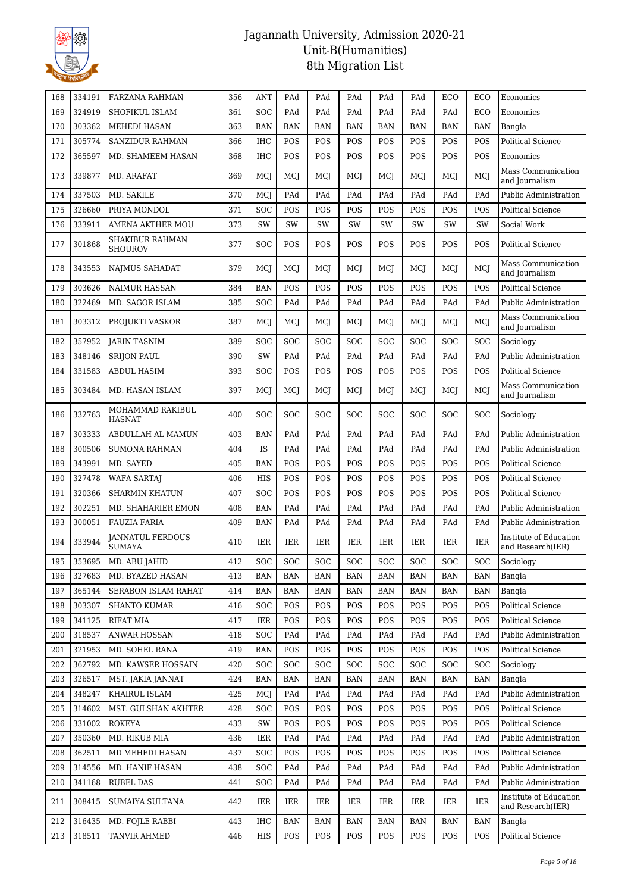

| 168 | 334191 | FARZANA RAHMAN                           | 356 | <b>ANT</b> | PAd        | PAd        | PAd                  | PAd        | PAd        | ECO        | ECO                  | Economics                                   |
|-----|--------|------------------------------------------|-----|------------|------------|------------|----------------------|------------|------------|------------|----------------------|---------------------------------------------|
| 169 | 324919 | SHOFIKUL ISLAM                           | 361 | SOC        | PAd        | PAd        | PAd                  | PAd        | PAd        | PAd        | ECO                  | Economics                                   |
| 170 | 303362 | <b>MEHEDI HASAN</b>                      | 363 | <b>BAN</b> | <b>BAN</b> | <b>BAN</b> | <b>BAN</b>           | <b>BAN</b> | <b>BAN</b> | <b>BAN</b> | <b>BAN</b>           | Bangla                                      |
| 171 | 305774 | <b>SANZIDUR RAHMAN</b>                   | 366 | <b>IHC</b> | POS        | POS        | POS                  | POS        | POS        | POS        | POS                  | <b>Political Science</b>                    |
| 172 | 365597 | MD. SHAMEEM HASAN                        | 368 | <b>IHC</b> | POS        | POS        | POS                  | POS        | POS        | POS        | POS                  | Economics                                   |
| 173 | 339877 | MD. ARAFAT                               | 369 | MCI        | MCI        | MCI        | MCI                  | MCI        | MCI        | MCI        | MCI                  | Mass Communication<br>and Journalism        |
| 174 | 337503 | MD. SAKILE                               | 370 | MCJ        | PAd        | PAd        | PAd                  | PAd        | PAd        | PAd        | PAd                  | Public Administration                       |
| 175 | 326660 | PRIYA MONDOL                             | 371 | SOC        | POS        | POS        | POS                  | POS        | POS        | POS        | POS                  | <b>Political Science</b>                    |
| 176 | 333911 | <b>AMENA AKTHER MOU</b>                  | 373 | SW         | SW         | SW         | SW                   | SW         | SW         | SW         | SW                   | Social Work                                 |
| 177 | 301868 | SHAKIBUR RAHMAN<br><b>SHOUROV</b>        | 377 | <b>SOC</b> | POS        | POS        | POS                  | POS        | POS        | POS        | POS                  | Political Science                           |
| 178 | 343553 | NAJMUS SAHADAT                           | 379 | MCI        | MCI        | MCJ        | MCJ                  | MCJ        | MCI        | MCI        | MCJ                  | Mass Communication<br>and Journalism        |
| 179 | 303626 | <b>NAIMUR HASSAN</b>                     | 384 | <b>BAN</b> | POS        | POS        | POS                  | POS        | POS        | POS        | POS                  | Political Science                           |
| 180 | 322469 | MD. SAGOR ISLAM                          | 385 | SOC        | PAd        | PAd        | PAd                  | PAd        | PAd        | PAd        | PAd                  | <b>Public Administration</b>                |
| 181 | 303312 | PROJUKTI VASKOR                          | 387 | MCJ        | MCJ        | MCJ        | MCJ                  | MCI        | MCJ        | MCJ        | MCJ                  | Mass Communication<br>and Journalism        |
| 182 | 357952 | <b>JARIN TASNIM</b>                      | 389 | SOC        | <b>SOC</b> | <b>SOC</b> | <b>SOC</b>           | <b>SOC</b> | SOC        | <b>SOC</b> | <b>SOC</b>           | Sociology                                   |
| 183 | 348146 | <b>SRIJON PAUL</b>                       | 390 | SW         | PAd        | PAd        | PAd                  | PAd        | PAd        | PAd        | PAd                  | Public Administration                       |
| 184 | 331583 | ABDUL HASIM                              | 393 | <b>SOC</b> | POS        | POS        | POS                  | POS        | POS        | POS        | POS                  | <b>Political Science</b>                    |
| 185 | 303484 | MD. HASAN ISLAM                          | 397 | MCI        | MCI        | MCI        | MCI                  | MCI        | MCI        | MCI        | MCJ                  | Mass Communication<br>and Journalism        |
| 186 | 332763 | MOHAMMAD RAKIBUL<br><b>HASNAT</b>        | 400 | SOC        | <b>SOC</b> | <b>SOC</b> | <b>SOC</b>           | <b>SOC</b> | SOC        | SOC        | <b>SOC</b>           | Sociology                                   |
| 187 | 303333 | ABDULLAH AL MAMUN                        | 403 | <b>BAN</b> | PAd        | PAd        | PAd                  | PAd        | PAd        | PAd        | PAd                  | Public Administration                       |
| 188 | 300506 | <b>SUMONA RAHMAN</b>                     | 404 | IS         | PAd        | PAd        | PAd                  | PAd        | PAd        | PAd        | PAd                  | Public Administration                       |
| 189 | 343991 | MD. SAYED                                | 405 | <b>BAN</b> | POS        | POS        | POS                  | POS        | POS        | POS        | POS                  | <b>Political Science</b>                    |
| 190 | 327478 | <b>WAFA SARTAJ</b>                       | 406 | <b>HIS</b> | POS        | POS        | POS                  | POS        | POS        | POS        | POS                  | <b>Political Science</b>                    |
| 191 | 320366 | <b>SHARMIN KHATUN</b>                    | 407 | SOC        | POS        | POS        | POS                  | POS        | POS        | POS        | POS                  | Political Science                           |
| 192 | 302251 | MD. SHAHARIER EMON                       | 408 | <b>BAN</b> | PAd        | PAd        | PAd                  | PAd        | PAd        | PAd        | PAd                  | Public Administration                       |
| 193 | 300051 | <b>FAUZIA FARIA</b>                      | 409 | <b>BAN</b> | PAd        | PAd        | PAd                  | PAd        | PAd        | PAd        | PAd                  | <b>Public Administration</b>                |
| 194 | 333944 | <b>JANNATUL FERDOUS</b><br><b>SUMAYA</b> | 410 | <b>IER</b> | IER        | IER        | IER                  | IER        | <b>IER</b> | IER        | <b>IER</b>           | Institute of Education<br>and Research(IER) |
| 195 |        | 353695 MD. ABU JAHID                     | 412 | SOC        | SOC        | SOC        | $\operatorname{SOC}$ | SOC        | SOC        | SOC        | $\operatorname{SOC}$ | Sociology                                   |
| 196 | 327683 | MD. BYAZED HASAN                         | 413 | <b>BAN</b> | BAN        | BAN        | BAN                  | BAN        | BAN        | BAN        | BAN                  | Bangla                                      |
| 197 | 365144 | SERABON ISLAM RAHAT                      | 414 | <b>BAN</b> | <b>BAN</b> | <b>BAN</b> | BAN                  | BAN        | <b>BAN</b> | <b>BAN</b> | <b>BAN</b>           | Bangla                                      |
| 198 | 303307 | <b>SHANTO KUMAR</b>                      | 416 | <b>SOC</b> | POS        | POS        | POS                  | POS        | POS        | POS        | POS                  | Political Science                           |
| 199 | 341125 | RIFAT MIA                                | 417 | <b>IER</b> | POS        | <b>POS</b> | POS                  | POS        | POS        | POS        | POS                  | Political Science                           |
| 200 | 318537 | <b>ANWAR HOSSAN</b>                      | 418 | SOC        | PAd        | PAd        | PAd                  | PAd        | PAd        | PAd        | PAd                  | Public Administration                       |
| 201 | 321953 | MD. SOHEL RANA                           | 419 | <b>BAN</b> | POS        | POS        | POS                  | POS        | POS        | POS        | POS                  | Political Science                           |
| 202 | 362792 | MD. KAWSER HOSSAIN                       | 420 | <b>SOC</b> | <b>SOC</b> | <b>SOC</b> | <b>SOC</b>           | <b>SOC</b> | <b>SOC</b> | <b>SOC</b> | <b>SOC</b>           | Sociology                                   |
| 203 | 326517 | MST. JAKIA JANNAT                        | 424 | <b>BAN</b> | BAN        | BAN        | BAN                  | BAN        | BAN        | <b>BAN</b> | <b>BAN</b>           | Bangla                                      |
| 204 | 348247 | KHAIRUL ISLAM                            | 425 | MCI        | PAd        | PAd        | PAd                  | PAd        | PAd        | PAd        | PAd                  | Public Administration                       |
| 205 | 314602 | MST. GULSHAN AKHTER                      | 428 | <b>SOC</b> | POS        | <b>POS</b> | POS                  | POS        | POS        | POS        | POS                  | Political Science                           |
| 206 | 331002 | <b>ROKEYA</b>                            | 433 | SW         | POS        | <b>POS</b> | POS                  | POS        | POS        | POS        | POS                  | Political Science                           |
| 207 | 350360 | MD. RIKUB MIA                            | 436 | IER        | PAd        | PAd        | PAd                  | PAd        | PAd        | PAd        | PAd                  | Public Administration                       |
| 208 | 362511 | MD MEHEDI HASAN                          | 437 | SOC        | POS        | POS        | POS                  | POS        | POS        | POS        | POS                  | Political Science                           |
| 209 | 314556 | MD. HANIF HASAN                          | 438 | <b>SOC</b> | PAd        | PAd        | PAd                  | PAd        | PAd        | PAd        | PAd                  | Public Administration                       |
| 210 | 341168 | <b>RUBEL DAS</b>                         | 441 | SOC        | PAd        | PAd        | PAd                  | PAd        | PAd        | PAd        | PAd                  | Public Administration                       |
| 211 | 308415 | SUMAIYA SULTANA                          | 442 | <b>IER</b> | IER        | IER        | IER                  | <b>IER</b> | IER        | IER        | IER                  | Institute of Education<br>and Research(IER) |
| 212 | 316435 | MD. FOJLE RABBI                          | 443 | IHC        | <b>BAN</b> | BAN        | BAN                  | BAN        | BAN        | BAN        | <b>BAN</b>           | Bangla                                      |
| 213 | 318511 | TANVIR AHMED                             | 446 | HIS        | POS        | <b>POS</b> | POS                  | POS        | POS        | POS        | POS                  | Political Science                           |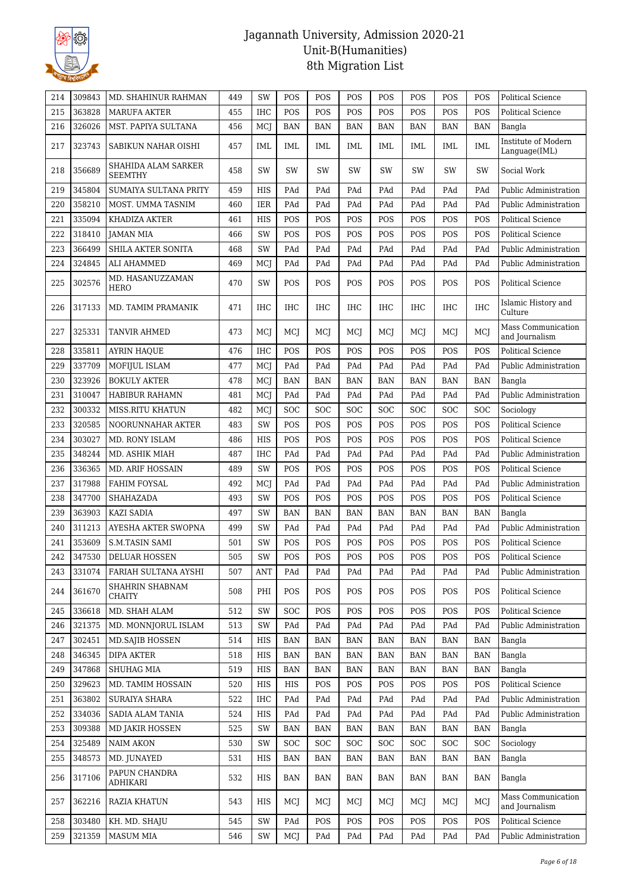

| 214 | 309843 | MD. SHAHINUR RAHMAN                          | 449 | SW         | POS        | POS        | POS        | POS        | POS        | POS        | POS        | <b>Political Science</b>             |
|-----|--------|----------------------------------------------|-----|------------|------------|------------|------------|------------|------------|------------|------------|--------------------------------------|
| 215 | 363828 | <b>MARUFA AKTER</b>                          | 455 | <b>IHC</b> | POS        | POS        | POS        | POS        | POS        | POS        | POS        | Political Science                    |
| 216 | 326026 | MST. PAPIYA SULTANA                          | 456 | MCJ        | <b>BAN</b> | BAN        | BAN        | <b>BAN</b> | <b>BAN</b> | <b>BAN</b> | <b>BAN</b> | Bangla                               |
| 217 | 323743 | SABIKUN NAHAR OISHI                          | 457 | IML        | <b>IML</b> | <b>IML</b> | IML        | IML        | IML        | <b>IML</b> | <b>IML</b> | Institute of Modern<br>Language(IML) |
| 218 | 356689 | <b>SHAHIDA ALAM SARKER</b><br><b>SEEMTHY</b> | 458 | SW         | SW         | SW         | <b>SW</b>  | SW         | SW         | SW         | SW         | Social Work                          |
| 219 | 345804 | SUMAIYA SULTANA PRITY                        | 459 | HIS        | PAd        | PAd        | PAd        | PAd        | PAd        | PAd        | PAd        | Public Administration                |
| 220 | 358210 | MOST. UMMA TASNIM                            | 460 | IER        | PAd        | PAd        | PAd        | PAd        | PAd        | PAd        | PAd        | Public Administration                |
| 221 | 335094 | KHADIZA AKTER                                | 461 | HIS        | POS        | POS        | POS        | POS        | POS        | POS        | POS        | Political Science                    |
| 222 | 318410 | <b>JAMAN MIA</b>                             | 466 | SW         | POS        | POS        | POS        | POS        | POS        | POS        | POS        | Political Science                    |
| 223 | 366499 | SHILA AKTER SONITA                           | 468 | SW         | PAd        | PAd        | PAd        | PAd        | PAd        | PAd        | PAd        | Public Administration                |
| 224 | 324845 | ALI AHAMMED                                  | 469 | MCJ        | PAd        | PAd        | PAd        | PAd        | PAd        | PAd        | PAd        | Public Administration                |
| 225 | 302576 | MD. HASANUZZAMAN<br>HERO                     | 470 | SW         | POS        | POS        | POS        | POS        | POS        | <b>POS</b> | POS        | Political Science                    |
| 226 | 317133 | MD. TAMIM PRAMANIK                           | 471 | <b>IHC</b> | <b>IHC</b> | IHC        | <b>IHC</b> | IHC        | <b>IHC</b> | IHC        | <b>IHC</b> | Islamic History and<br>Culture       |
| 227 | 325331 | <b>TANVIR AHMED</b>                          | 473 | MCI        | MCJ        | MCJ        | MCJ        | MCJ        | MCI        | MCJ        | MCJ        | Mass Communication<br>and Journalism |
| 228 | 335811 | <b>AYRIN HAQUE</b>                           | 476 | <b>IHC</b> | POS        | POS        | POS        | POS        | POS        | <b>POS</b> | POS        | Political Science                    |
| 229 | 337709 | MOFIJUL ISLAM                                | 477 | MCJ        | PAd        | PAd        | PAd        | PAd        | PAd        | PAd        | PAd        | <b>Public Administration</b>         |
| 230 | 323926 | <b>BOKULY AKTER</b>                          | 478 | MCJ        | <b>BAN</b> | BAN        | BAN        | <b>BAN</b> | <b>BAN</b> | <b>BAN</b> | <b>BAN</b> | Bangla                               |
| 231 | 310047 | HABIBUR RAHAMN                               | 481 | MCJ        | PAd        | PAd        | PAd        | PAd        | PAd        | PAd        | PAd        | Public Administration                |
| 232 | 300332 | MISS.RITU KHATUN                             | 482 | MCJ        | <b>SOC</b> | SOC        | <b>SOC</b> | SOC        | <b>SOC</b> | <b>SOC</b> | SOC        | Sociology                            |
| 233 | 320585 | NOORUNNAHAR AKTER                            | 483 | SW         | POS        | POS        | POS        | POS        | POS        | POS        | POS        | Political Science                    |
| 234 | 303027 | MD. RONY ISLAM                               | 486 | HIS        | POS        | POS        | POS        | POS        | POS        | POS        | POS        | Political Science                    |
| 235 | 348244 | MD. ASHIK MIAH                               | 487 | <b>IHC</b> | PAd        | PAd        | PAd        | PAd        | PAd        | PAd        | PAd        | Public Administration                |
| 236 | 336365 | <b>MD. ARIF HOSSAIN</b>                      | 489 | <b>SW</b>  | POS        | POS        | POS        | POS        | POS        | <b>POS</b> | POS        | Political Science                    |
| 237 | 317988 | FAHIM FOYSAL                                 | 492 | MCJ        | PAd        | PAd        | PAd        | PAd        | PAd        | PAd        | PAd        | Public Administration                |
| 238 | 347700 | SHAHAZADA                                    | 493 | SW         | POS        | POS        | POS        | POS        | POS        | POS        | POS        | Political Science                    |
| 239 | 363903 | KAZI SADIA                                   | 497 | SW         | <b>BAN</b> | <b>BAN</b> | <b>BAN</b> | <b>BAN</b> | <b>BAN</b> | <b>BAN</b> | <b>BAN</b> | Bangla                               |
| 240 | 311213 | AYESHA AKTER SWOPNA                          | 499 | SW         | PAd        | PAd        | PAd        | PAd        | PAd        | PAd        | PAd        | Public Administration                |
| 241 | 353609 | <b>S.M.TASIN SAMI</b>                        | 501 | SW         | POS        | POS        | POS        | POS        | POS        | POS        | POS        | Political Science                    |
| 242 | 347530 | DELUAR HOSSEN                                | 505 | SW         | POS        | POS        | POS        | POS        | POS        | POS        | POS        | Political Science                    |
| 243 | 331074 | FARIAH SULTANA AYSHI                         | 507 | ANT        | PAd        | PAd        | PAd        | PAd        | PAd        | PAd        | PAd        | Public Administration                |
| 244 | 361670 | SHAHRIN SHABNAM<br>CHAITY                    | 508 | PHI        | POS        | POS        | POS        | POS        | POS        | POS        | POS        | <b>Political Science</b>             |
| 245 | 336618 | MD. SHAH ALAM                                | 512 | SW         | <b>SOC</b> | POS        | POS        | POS        | POS        | POS        | POS        | <b>Political Science</b>             |
| 246 | 321375 | MD. MONNJORUL ISLAM                          | 513 | SW         | PAd        | PAd        | PAd        | PAd        | PAd        | PAd        | PAd        | Public Administration                |
| 247 | 302451 | MD.SAJIB HOSSEN                              | 514 | HIS        | BAN        | <b>BAN</b> | BAN        | <b>BAN</b> | <b>BAN</b> | <b>BAN</b> | <b>BAN</b> | Bangla                               |
| 248 | 346345 | <b>DIPA AKTER</b>                            | 518 | HIS        | <b>BAN</b> | BAN        | BAN        | BAN        | <b>BAN</b> | <b>BAN</b> | <b>BAN</b> | Bangla                               |
| 249 | 347868 | SHUHAG MIA                                   | 519 | HIS        | <b>BAN</b> | <b>BAN</b> | BAN        | <b>BAN</b> | <b>BAN</b> | <b>BAN</b> | <b>BAN</b> | Bangla                               |
| 250 | 329623 | MD. TAMIM HOSSAIN                            | 520 | HIS        | HIS        | POS        | POS        | POS        | POS        | POS        | POS        | Political Science                    |
| 251 | 363802 | SURAIYA SHARA                                | 522 | IHC        | PAd        | PAd        | PAd        | PAd        | PAd        | PAd        | PAd        | Public Administration                |
| 252 | 334036 | SADIA ALAM TANIA                             | 524 | HIS        | PAd        | PAd        | PAd        | PAd        | PAd        | PAd        | PAd        | Public Administration                |
| 253 | 309388 | MD JAKIR HOSSEN                              | 525 | SW         | <b>BAN</b> | <b>BAN</b> | BAN        | <b>BAN</b> | <b>BAN</b> | <b>BAN</b> | <b>BAN</b> | Bangla                               |
| 254 | 325489 | <b>NAIM AKON</b>                             | 530 | SW         | <b>SOC</b> | <b>SOC</b> | <b>SOC</b> | SOC        | <b>SOC</b> | <b>SOC</b> | <b>SOC</b> | Sociology                            |
| 255 | 348573 | MD. JUNAYED                                  | 531 | HIS        | BAN        | BAN        | BAN        | BAN        | BAN        | <b>BAN</b> | BAN        | Bangla                               |
| 256 | 317106 | PAPUN CHANDRA<br><b>ADHIKARI</b>             | 532 | HIS        | BAN        | BAN        | BAN        | BAN        | BAN        | <b>BAN</b> | <b>BAN</b> | Bangla                               |
| 257 | 362216 | RAZIA KHATUN                                 | 543 | HIS        | MCJ        | MCJ        | MCJ        | MCJ        | MCJ        | MCJ        | MCJ        | Mass Communication<br>and Journalism |
| 258 | 303480 | KH. MD. SHAJU                                | 545 | SW         | PAd        | POS        | POS        | POS        | POS        | POS        | POS        | Political Science                    |
| 259 | 321359 | <b>MASUM MIA</b>                             | 546 | SW         | MCJ        | PAd        | PAd        | PAd        | PAd        | PAd        | PAd        | Public Administration                |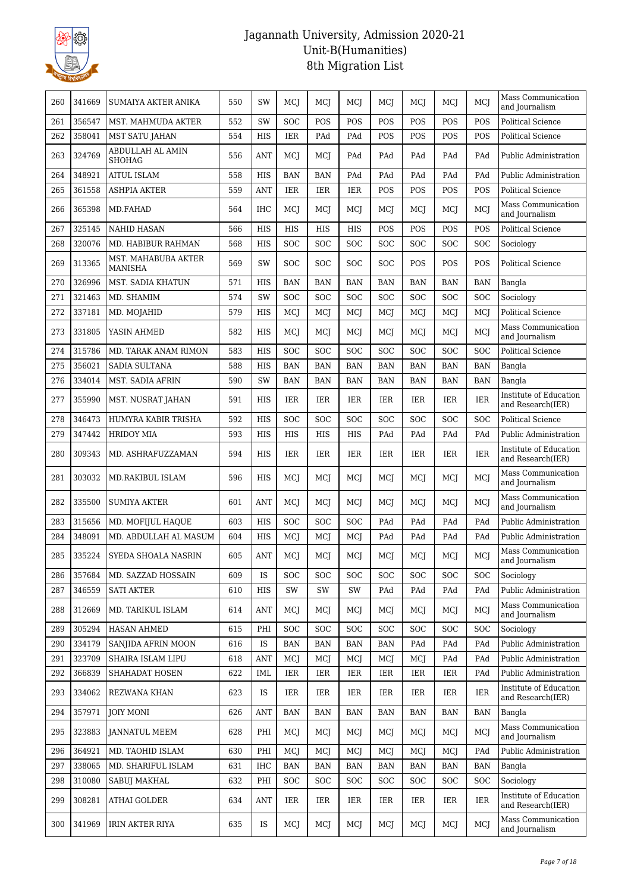

| 260 | 341669 | SUMAIYA AKTER ANIKA                   | 550 | SW         | MCJ        | MCJ        | MCJ        | MCJ        | MCJ        | MCJ        | MCJ        | Mass Communication<br>and Journalism        |
|-----|--------|---------------------------------------|-----|------------|------------|------------|------------|------------|------------|------------|------------|---------------------------------------------|
| 261 | 356547 | MST. MAHMUDA AKTER                    | 552 | SW         | <b>SOC</b> | POS        | POS        | POS        | POS        | POS        | POS        | <b>Political Science</b>                    |
| 262 | 358041 | <b>MST SATU JAHAN</b>                 | 554 | HIS        | IER        | PAd        | PAd        | POS        | POS        | POS        | POS        | <b>Political Science</b>                    |
| 263 | 324769 | ABDULLAH AL AMIN<br><b>SHOHAG</b>     | 556 | <b>ANT</b> | MCJ        | MCJ        | PAd        | PAd        | PAd        | PAd        | PAd        | Public Administration                       |
| 264 | 348921 | <b>AITUL ISLAM</b>                    | 558 | <b>HIS</b> | <b>BAN</b> | <b>BAN</b> | PAd        | PAd        | PAd        | PAd        | PAd        | Public Administration                       |
| 265 | 361558 | <b>ASHPIA AKTER</b>                   | 559 | <b>ANT</b> | IER        | IER        | IER        | POS        | POS        | POS        | POS        | Political Science                           |
| 266 | 365398 | MD.FAHAD                              | 564 | IHC        | MCJ        | MCJ        | MCJ        | MCI        | MCJ        | MCJ        | MCI        | Mass Communication<br>and Journalism        |
| 267 | 325145 | <b>NAHID HASAN</b>                    | 566 | <b>HIS</b> | <b>HIS</b> | HIS        | HIS        | POS        | POS        | POS        | POS        | <b>Political Science</b>                    |
| 268 | 320076 | MD. HABIBUR RAHMAN                    | 568 | <b>HIS</b> | SOC        | SOC        | SOC        | SOC        | SOC        | SOC        | <b>SOC</b> | Sociology                                   |
| 269 | 313365 | MST. MAHABUBA AKTER<br><b>MANISHA</b> | 569 | SW         | <b>SOC</b> | <b>SOC</b> | <b>SOC</b> | SOC        | POS        | POS        | POS        | Political Science                           |
| 270 | 326996 | MST. SADIA KHATUN                     | 571 | HIS        | <b>BAN</b> | <b>BAN</b> | <b>BAN</b> | <b>BAN</b> | <b>BAN</b> | <b>BAN</b> | <b>BAN</b> | Bangla                                      |
| 271 | 321463 | MD. SHAMIM                            | 574 | SW         | SOC        | SOC        | SOC        | SOC        | SOC        | SOC        | SOC        | Sociology                                   |
| 272 | 337181 | MD. MOJAHID                           | 579 | HIS        | MCJ        | MCJ        | MCJ        | MCJ        | MCJ        | MCJ        | MCJ        | Political Science                           |
| 273 | 331805 | YASIN AHMED                           | 582 | HIS        | MCJ        | MCJ        | MCJ        | MCJ        | MCI        | MCJ        | MCJ        | Mass Communication<br>and Journalism        |
| 274 | 315786 | MD. TARAK ANAM RIMON                  | 583 | <b>HIS</b> | <b>SOC</b> | SOC        | <b>SOC</b> | SOC        | SOC        | SOC        | SOC        | <b>Political Science</b>                    |
| 275 | 356021 | SADIA SULTANA                         | 588 | <b>HIS</b> | <b>BAN</b> | <b>BAN</b> | <b>BAN</b> | <b>BAN</b> | <b>BAN</b> | <b>BAN</b> | <b>BAN</b> | Bangla                                      |
| 276 | 334014 | MST. SADIA AFRIN                      | 590 | SW         | <b>BAN</b> | <b>BAN</b> | <b>BAN</b> | <b>BAN</b> | <b>BAN</b> | <b>BAN</b> | <b>BAN</b> | Bangla                                      |
| 277 | 355990 | MST. NUSRAT JAHAN                     | 591 | HIS        | IER        | IER        | IER        | IER        | IER        | IER        | IER        | Institute of Education<br>and Research(IER) |
| 278 | 346473 | HUMYRA KABIR TRISHA                   | 592 | <b>HIS</b> | <b>SOC</b> | SOC        | SOC        | SOC        | <b>SOC</b> | SOC        | SOC        | <b>Political Science</b>                    |
| 279 | 347442 | <b>HRIDOY MIA</b>                     | 593 | <b>HIS</b> | HIS        | HIS        | HIS        | PAd        | PAd        | PAd        | PAd        | Public Administration                       |
| 280 | 309343 | MD. ASHRAFUZZAMAN                     | 594 | HIS        | IER        | IER        | IER        | IER        | IER        | IER        | <b>IER</b> | Institute of Education<br>and Research(IER) |
| 281 | 303032 | MD.RAKIBUL ISLAM                      | 596 | HIS        | MCJ        | MCJ        | MCJ        | MCJ        | MCJ        | MCJ        | MCJ        | Mass Communication<br>and Journalism        |
| 282 | 335500 | <b>SUMIYA AKTER</b>                   | 601 | ANT        | MCJ        | MCJ        | MCJ        | MCI        | MCJ        | MCJ        | MCJ        | Mass Communication<br>and Journalism        |
| 283 | 315656 | MD. MOFIJUL HAQUE                     | 603 | <b>HIS</b> | <b>SOC</b> | SOC        | <b>SOC</b> | PAd        | PAd        | PAd        | PAd        | Public Administration                       |
| 284 | 348091 | MD. ABDULLAH AL MASUM                 | 604 | <b>HIS</b> | MCJ        | MCJ        | MCJ        | PAd        | PAd        | PAd        | PAd        | Public Administration                       |
| 285 | 335224 | SYEDA SHOALA NASRIN                   | 605 | <b>ANT</b> | MCJ        | MCJ        | MCJ        | MCI        | MCJ        | MCJ        | MCJ        | Mass Communication<br>and Journalism        |
| 286 | 357684 | MD. SAZZAD HOSSAIN                    | 609 | IS         | <b>SOC</b> | SOC        | <b>SOC</b> | SOC        | SOC        | <b>SOC</b> | SOC        | Sociology                                   |
| 287 | 346559 | <b>SATI AKTER</b>                     | 610 | HIS        | SW         | SW         | SW         | PAd        | PAd        | PAd        | PAd        | Public Administration                       |
| 288 | 312669 | MD. TARIKUL ISLAM                     | 614 | <b>ANT</b> | MCJ        | MCJ        | MCJ        | MCI        | MCI        | MCJ        | MCI        | Mass Communication<br>and Journalism        |
| 289 | 305294 | <b>HASAN AHMED</b>                    | 615 | PHI        | <b>SOC</b> | <b>SOC</b> | <b>SOC</b> | <b>SOC</b> | <b>SOC</b> | <b>SOC</b> | <b>SOC</b> | Sociology                                   |
| 290 | 334179 | SANJIDA AFRIN MOON                    | 616 | IS         | <b>BAN</b> | <b>BAN</b> | <b>BAN</b> | <b>BAN</b> | PAd        | PAd        | PAd        | Public Administration                       |
| 291 | 323709 | SHAIRA ISLAM LIPU                     | 618 | <b>ANT</b> | MCJ        | MCJ        | MCJ        | MCI        | MCJ        | PAd        | PAd        | Public Administration                       |
| 292 | 366839 | SHAHADAT HOSEN                        | 622 | IML        | <b>IER</b> | IER        | IER        | IER        | IER        | <b>IER</b> | PAd        | Public Administration                       |
| 293 | 334062 | REZWANA KHAN                          | 623 | IS         | <b>IER</b> | IER        | IER        | IER        | IER        | IER        | IER        | Institute of Education<br>and Research(IER) |
| 294 | 357971 | <b>JOIY MONI</b>                      | 626 | <b>ANT</b> | <b>BAN</b> | <b>BAN</b> | <b>BAN</b> | <b>BAN</b> | BAN        | <b>BAN</b> | <b>BAN</b> | Bangla                                      |
| 295 | 323883 | JANNATUL MEEM                         | 628 | PHI        | MCJ        | MCJ        | MCJ        | MCJ        | MCJ        | MCJ        | MCJ        | Mass Communication<br>and Journalism        |
| 296 | 364921 | MD. TAOHID ISLAM                      | 630 | PHI        | MCJ        | MCJ        | MCJ        | MCJ        | MCJ        | MCJ        | PAd        | Public Administration                       |
| 297 | 338065 | MD. SHARIFUL ISLAM                    | 631 | IHC        | <b>BAN</b> | <b>BAN</b> | <b>BAN</b> | <b>BAN</b> | <b>BAN</b> | <b>BAN</b> | <b>BAN</b> | Bangla                                      |
| 298 | 310080 | SABUJ MAKHAL                          | 632 | PHI        | <b>SOC</b> | <b>SOC</b> | <b>SOC</b> | <b>SOC</b> | <b>SOC</b> | SOC        | SOC        | Sociology                                   |
| 299 | 308281 | <b>ATHAI GOLDER</b>                   | 634 | <b>ANT</b> | IER        | IER        | IER        | IER        | IER        | <b>IER</b> | IER        | Institute of Education<br>and Research(IER) |
| 300 | 341969 | <b>IRIN AKTER RIYA</b>                | 635 | IS         | MCJ        | MCJ        | MCJ        | MCI        | MCJ        | MCI        | MCJ        | Mass Communication<br>and Journalism        |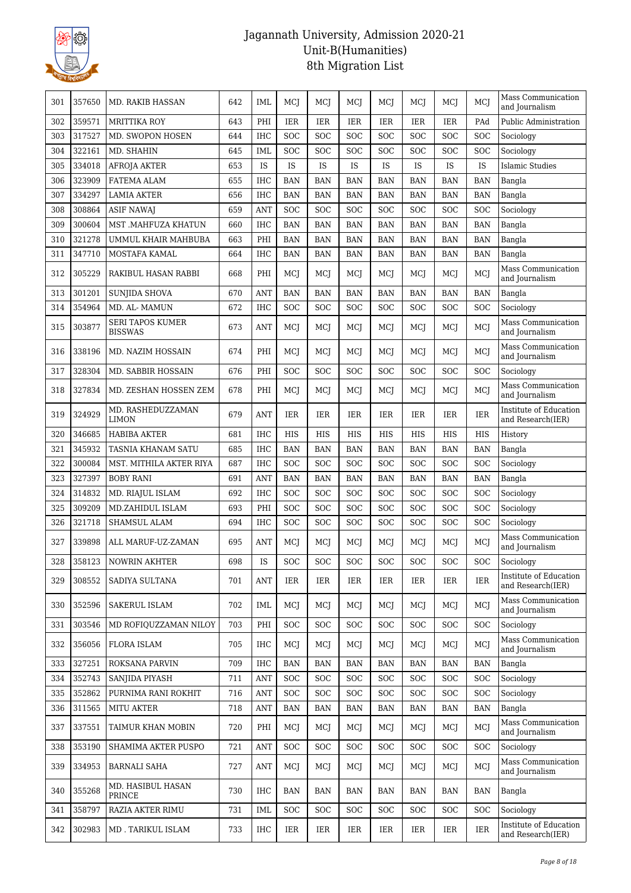

| 301 | 357650 | <b>MD. RAKIB HASSAN</b>                   | 642 | IML        | MCJ        | MCJ        | MCJ        | MCJ        | MCJ        | MCJ        | MCJ        | Mass Communication<br>and Journalism        |
|-----|--------|-------------------------------------------|-----|------------|------------|------------|------------|------------|------------|------------|------------|---------------------------------------------|
| 302 | 359571 | <b>MRITTIKA ROY</b>                       | 643 | PHI        | IER        | IER        | IER        | <b>IER</b> | IER        | <b>IER</b> | PAd        | Public Administration                       |
| 303 | 317527 | MD. SWOPON HOSEN                          | 644 | <b>IHC</b> | <b>SOC</b> | SOC        | SOC        | SOC        | SOC        | <b>SOC</b> | SOC        | Sociology                                   |
| 304 | 322161 | MD. SHAHIN                                | 645 | <b>IML</b> | <b>SOC</b> | SOC        | SOC        | SOC        | SOC        | <b>SOC</b> | SOC        | Sociology                                   |
| 305 | 334018 | <b>AFROJA AKTER</b>                       | 653 | IS         | IS         | IS         | IS         | IS         | IS         | IS         | IS         | Islamic Studies                             |
| 306 | 323909 | FATEMA ALAM                               | 655 | <b>IHC</b> | <b>BAN</b> | <b>BAN</b> | <b>BAN</b> | <b>BAN</b> | <b>BAN</b> | <b>BAN</b> | <b>BAN</b> | Bangla                                      |
| 307 | 334297 | <b>LAMIA AKTER</b>                        | 656 | $\rm IHC$  | <b>BAN</b> | <b>BAN</b> | <b>BAN</b> | <b>BAN</b> | <b>BAN</b> | <b>BAN</b> | <b>BAN</b> | Bangla                                      |
| 308 | 308864 | <b>ASIF NAWAJ</b>                         | 659 | <b>ANT</b> | <b>SOC</b> | SOC        | SOC        | SOC        | <b>SOC</b> | <b>SOC</b> | SOC        | Sociology                                   |
| 309 | 300604 | MST .MAHFUZA KHATUN                       | 660 | <b>IHC</b> | <b>BAN</b> | <b>BAN</b> | <b>BAN</b> | <b>BAN</b> | <b>BAN</b> | <b>BAN</b> | <b>BAN</b> | Bangla                                      |
| 310 | 321278 | UMMUL KHAIR MAHBUBA                       | 663 | PHI        | <b>BAN</b> | <b>BAN</b> | <b>BAN</b> | <b>BAN</b> | <b>BAN</b> | <b>BAN</b> | <b>BAN</b> | Bangla                                      |
| 311 | 347710 | MOSTAFA KAMAL                             | 664 | IHC        | <b>BAN</b> | <b>BAN</b> | <b>BAN</b> | <b>BAN</b> | <b>BAN</b> | <b>BAN</b> | <b>BAN</b> | Bangla                                      |
| 312 | 305229 | RAKIBUL HASAN RABBI                       | 668 | PHI        | MCJ        | MCJ        | MCJ        | MCJ        | MCJ        | MCJ        | MCJ        | Mass Communication<br>and Journalism        |
| 313 | 301201 | <b>SUNJIDA SHOVA</b>                      | 670 | <b>ANT</b> | <b>BAN</b> | <b>BAN</b> | <b>BAN</b> | <b>BAN</b> | <b>BAN</b> | <b>BAN</b> | <b>BAN</b> | Bangla                                      |
| 314 | 354964 | MD. AL-MAMUN                              | 672 | <b>IHC</b> | <b>SOC</b> | SOC        | SOC        | SOC        | SOC        | SOC        | SOC        | Sociology                                   |
| 315 | 303877 | <b>SERI TAPOS KUMER</b><br><b>BISSWAS</b> | 673 | <b>ANT</b> | MCI        | MCJ        | MCJ        | MCJ        | MCI        | MCI        | MCJ        | Mass Communication<br>and Journalism        |
| 316 | 338196 | MD. NAZIM HOSSAIN                         | 674 | PHI        | MCJ        | MCJ        | MCI        | MCJ        | MCJ        | MCJ        | MCJ        | Mass Communication<br>and Journalism        |
| 317 | 328304 | MD. SABBIR HOSSAIN                        | 676 | PHI        | <b>SOC</b> | <b>SOC</b> | <b>SOC</b> | SOC        | SOC        | <b>SOC</b> | SOC        | Sociology                                   |
| 318 | 327834 | MD. ZESHAN HOSSEN ZEM                     | 678 | PHI        | MCJ        | MCJ        | MCJ        | MCJ        | MCJ        | MCI        | MCJ        | Mass Communication<br>and Journalism        |
| 319 | 324929 | MD. RASHEDUZZAMAN<br><b>LIMON</b>         | 679 | <b>ANT</b> | IER        | IER        | IER        | IER        | <b>IER</b> | <b>IER</b> | <b>IER</b> | Institute of Education<br>and Research(IER) |
| 320 | 346685 | <b>HABIBA AKTER</b>                       | 681 | <b>IHC</b> | <b>HIS</b> | <b>HIS</b> | <b>HIS</b> | <b>HIS</b> | <b>HIS</b> | <b>HIS</b> | HIS        | History                                     |
| 321 | 345932 | TASNIA KHANAM SATU                        | 685 | <b>IHC</b> | <b>BAN</b> | <b>BAN</b> | <b>BAN</b> | <b>BAN</b> | <b>BAN</b> | <b>BAN</b> | <b>BAN</b> | Bangla                                      |
| 322 | 300084 | MST. MITHILA AKTER RIYA                   | 687 | <b>IHC</b> | <b>SOC</b> | SOC        | SOC        | SOC        | SOC        | SOC        | SOC        | Sociology                                   |
| 323 | 327397 | <b>BOBY RANI</b>                          | 691 | <b>ANT</b> | <b>BAN</b> | <b>BAN</b> | <b>BAN</b> | <b>BAN</b> | <b>BAN</b> | <b>BAN</b> | <b>BAN</b> | Bangla                                      |
| 324 | 314832 | MD. RIAJUL ISLAM                          | 692 | <b>IHC</b> | <b>SOC</b> | SOC        | SOC        | SOC        | SOC        | SOC        | SOC        | Sociology                                   |
| 325 | 309209 | MD.ZAHIDUL ISLAM                          | 693 | PHI        | <b>SOC</b> | <b>SOC</b> | <b>SOC</b> | SOC        | SOC        | <b>SOC</b> | <b>SOC</b> | Sociology                                   |
| 326 | 321718 | SHAMSUL ALAM                              | 694 | <b>IHC</b> | <b>SOC</b> | SOC        | SOC        | SOC        | SOC        | SOC        | SOC        | Sociology                                   |
| 327 | 339898 | ALL MARUF-UZ-ZAMAN                        | 695 | <b>ANT</b> | MCJ        | MCJ        | MCJ        | MCJ        | MCJ        | MCJ        | MCJ        | Mass Communication<br>and Journalism        |
| 328 | 358123 | NOWRIN AKHTER                             | 698 | IS         | SOC        | SOC        | SOC        | SOC        | SOC        | SOC        | SOC        | Sociology                                   |
| 329 | 308552 | SADIYA SULTANA                            | 701 | <b>ANT</b> | IER        | IER        | IER        | IER        | IER        | IER        | IER        | Institute of Education<br>and Research(IER) |
| 330 | 352596 | SAKERUL ISLAM                             | 702 | IML        | MCJ        | MCJ        | MCJ        | MCJ        | MCJ        | MCI        | MCJ        | Mass Communication<br>and Journalism        |
| 331 | 303546 | MD ROFIQUZZAMAN NILOY                     | 703 | PHI        | <b>SOC</b> | SOC        | <b>SOC</b> | <b>SOC</b> | SOC        | <b>SOC</b> | SOC        | Sociology                                   |
| 332 | 356056 | <b>FLORA ISLAM</b>                        | 705 | <b>IHC</b> | MCJ        | MCJ        | MCJ        | MCI        | MCJ        | MCI        | MCJ        | Mass Communication<br>and Journalism        |
| 333 | 327251 | <b>ROKSANA PARVIN</b>                     | 709 | IHC        | <b>BAN</b> | <b>BAN</b> | <b>BAN</b> | <b>BAN</b> | <b>BAN</b> | <b>BAN</b> | <b>BAN</b> | Bangla                                      |
| 334 | 352743 | SANJIDA PIYASH                            | 711 | ANT        | <b>SOC</b> | SOC        | <b>SOC</b> | SOC        | <b>SOC</b> | <b>SOC</b> | SOC        | Sociology                                   |
| 335 | 352862 | PURNIMA RANI ROKHIT                       | 716 | ANT        | <b>SOC</b> | SOC        | <b>SOC</b> | <b>SOC</b> | <b>SOC</b> | <b>SOC</b> | SOC        | Sociology                                   |
| 336 | 311565 | MITU AKTER                                | 718 | <b>ANT</b> | <b>BAN</b> | <b>BAN</b> | BAN        | <b>BAN</b> | <b>BAN</b> | <b>BAN</b> | <b>BAN</b> | Bangla                                      |
| 337 | 337551 | TAIMUR KHAN MOBIN                         | 720 | PHI        | MCJ        | MCJ        | MCI        | MCJ        | MCJ        | MCJ        | MCJ        | Mass Communication<br>and Journalism        |
| 338 | 353190 | SHAMIMA AKTER PUSPO                       | 721 | <b>ANT</b> | <b>SOC</b> | SOC        | <b>SOC</b> | SOC        | <b>SOC</b> | <b>SOC</b> | SOC        | Sociology                                   |
| 339 | 334953 | BARNALI SAHA                              | 727 | <b>ANT</b> | MCI        | MCJ        | MCJ        | MCJ        | MCJ        | MCI        | MCJ        | Mass Communication<br>and Journalism        |
| 340 | 355268 | MD. HASIBUL HASAN<br>PRINCE               | 730 | IHC        | BAN        | <b>BAN</b> | BAN        | BAN        | BAN        | BAN        | <b>BAN</b> | Bangla                                      |
| 341 | 358797 | RAZIA AKTER RIMU                          | 731 | IML        | <b>SOC</b> | <b>SOC</b> | <b>SOC</b> | <b>SOC</b> | <b>SOC</b> | <b>SOC</b> | <b>SOC</b> | Sociology                                   |
| 342 | 302983 | MD . TARIKUL ISLAM                        | 733 | IHC        | IER        | IER        | IER        | IER        | IER        | IER        | <b>IER</b> | Institute of Education<br>and Research(IER) |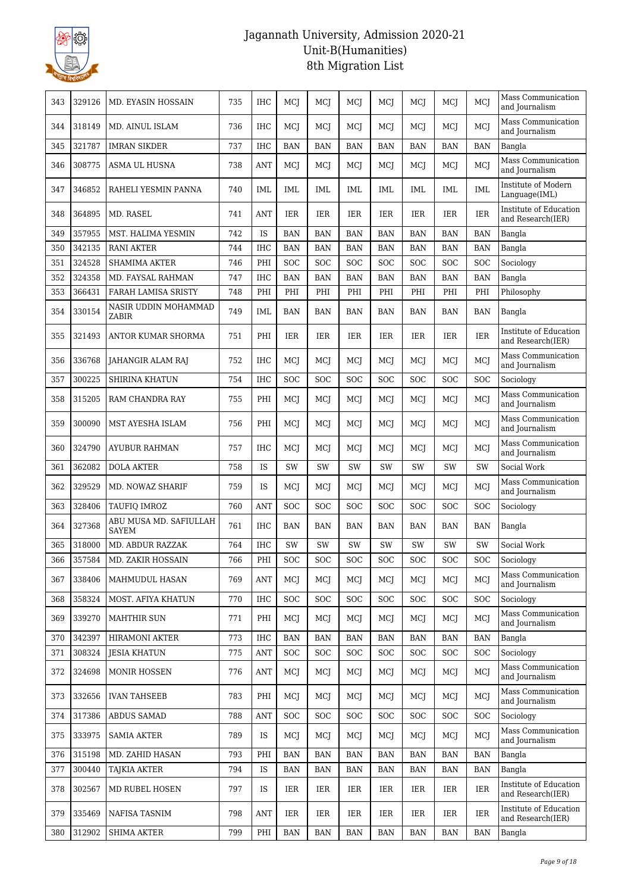

| 343 | 329126 | MD. EYASIN HOSSAIN                     | 735 | IHC        | MCJ        | MCJ        | MCJ        | MCJ        | MCJ        | MCJ        | MCJ        | Mass Communication<br>and Journalism        |
|-----|--------|----------------------------------------|-----|------------|------------|------------|------------|------------|------------|------------|------------|---------------------------------------------|
| 344 | 318149 | MD. AINUL ISLAM                        | 736 | <b>IHC</b> | <b>MCI</b> | MCI        | MCI        | MCI        | MCI        | MCI        | MCJ        | Mass Communication<br>and Journalism        |
| 345 | 321787 | <b>IMRAN SIKDER</b>                    | 737 | <b>IHC</b> | <b>BAN</b> | <b>BAN</b> | <b>BAN</b> | <b>BAN</b> | <b>BAN</b> | <b>BAN</b> | <b>BAN</b> | Bangla                                      |
| 346 | 308775 | <b>ASMA UL HUSNA</b>                   | 738 | <b>ANT</b> | MCJ        | MCJ        | MCJ        | MCJ        | MCJ        | MCJ        | MCJ        | Mass Communication<br>and Journalism        |
| 347 | 346852 | RAHELI YESMIN PANNA                    | 740 | IML        | IML        | IML        | IML        | <b>IML</b> | IML        | IML        | <b>IML</b> | Institute of Modern<br>Language(IML)        |
| 348 | 364895 | MD. RASEL                              | 741 | <b>ANT</b> | <b>IER</b> | <b>IER</b> | <b>IER</b> | <b>IER</b> | IER        | <b>IER</b> | <b>IER</b> | Institute of Education<br>and Research(IER) |
| 349 | 357955 | MST. HALIMA YESMIN                     | 742 | <b>IS</b>  | <b>BAN</b> | <b>BAN</b> | <b>BAN</b> | <b>BAN</b> | <b>BAN</b> | <b>BAN</b> | <b>BAN</b> | Bangla                                      |
| 350 | 342135 | <b>RANI AKTER</b>                      | 744 | <b>IHC</b> | <b>BAN</b> | <b>BAN</b> | <b>BAN</b> | <b>BAN</b> | <b>BAN</b> | <b>BAN</b> | <b>BAN</b> | Bangla                                      |
| 351 | 324528 | SHAMIMA AKTER                          | 746 | PHI        | <b>SOC</b> | <b>SOC</b> | <b>SOC</b> | <b>SOC</b> | SOC        | <b>SOC</b> | <b>SOC</b> | Sociology                                   |
| 352 | 324358 | MD. FAYSAL RAHMAN                      | 747 | <b>IHC</b> | <b>BAN</b> | <b>BAN</b> | <b>BAN</b> | <b>BAN</b> | <b>BAN</b> | <b>BAN</b> | <b>BAN</b> | Bangla                                      |
| 353 | 366431 | FARAH LAMISA SRISTY                    | 748 | PHI        | PHI        | PHI        | PHI        | PHI        | PHI        | PHI        | PHI        | Philosophy                                  |
| 354 | 330154 | NASIR UDDIN MOHAMMAD<br>ZABIR          | 749 | IML        | BAN        | BAN        | <b>BAN</b> | BAN        | <b>BAN</b> | <b>BAN</b> | <b>BAN</b> | Bangla                                      |
| 355 | 321493 | ANTOR KUMAR SHORMA                     | 751 | PHI        | <b>IER</b> | <b>IER</b> | <b>IER</b> | <b>IER</b> | IER        | <b>IER</b> | <b>IER</b> | Institute of Education<br>and Research(IER) |
| 356 | 336768 | <b>JAHANGIR ALAM RAJ</b>               | 752 | <b>IHC</b> | MCJ        | MCJ        | MCJ        | MCJ        | MCJ        | MCJ        | MCJ        | Mass Communication<br>and Journalism        |
| 357 | 300225 | SHIRINA KHATUN                         | 754 | <b>IHC</b> | SOC        | SOC        | SOC        | SOC        | SOC        | <b>SOC</b> | SOC        | Sociology                                   |
| 358 | 315205 | RAM CHANDRA RAY                        | 755 | PHI        | <b>MCI</b> | MCI        | MCI        | MCI        | MCI        | MCI        | MCI        | Mass Communication<br>and Journalism        |
| 359 | 300090 | MST AYESHA ISLAM                       | 756 | PHI        | <b>MCI</b> | MCI        | MCI        | MCI        | MCI        | MCI        | MCJ        | Mass Communication<br>and Journalism        |
| 360 | 324790 | AYUBUR RAHMAN                          | 757 | <b>IHC</b> | MCJ        | MCJ        | MCJ        | MCJ        | MCJ        | MCJ        | MCJ        | Mass Communication<br>and Journalism        |
| 361 | 362082 | <b>DOLA AKTER</b>                      | 758 | IS         | <b>SW</b>  | SW         | <b>SW</b>  | SW         | <b>SW</b>  | SW         | SW         | Social Work                                 |
| 362 | 329529 | MD. NOWAZ SHARIF                       | 759 | IS         | MCI        | MCI        | MCJ        | MCI        | MCI        | MCI        | MCJ        | Mass Communication<br>and Journalism        |
| 363 | 328406 | TAUFIQ IMROZ                           | 760 | <b>ANT</b> | SOC        | <b>SOC</b> | <b>SOC</b> | SOC        | SOC        | <b>SOC</b> | SOC        | Sociology                                   |
| 364 | 327368 | ABU MUSA MD. SAFIULLAH<br><b>SAYEM</b> | 761 | <b>IHC</b> | <b>BAN</b> | <b>BAN</b> | <b>BAN</b> | <b>BAN</b> | <b>BAN</b> | <b>BAN</b> | <b>BAN</b> | Bangla                                      |
| 365 | 318000 | MD. ABDUR RAZZAK                       | 764 | <b>IHC</b> | SW         | SW         | <b>SW</b>  | SW         | SW         | SW         | SW         | Social Work                                 |
| 366 | 357584 | MD. ZAKIR HOSSAIN                      | 766 | PHI        | SOC        | SOC        | SOC        | SOC        | SOC        | SOC        | SOC        | Sociology                                   |
| 367 | 338406 | MAHMUDUL HASAN                         | 769 | <b>ANT</b> | MCI        | MCJ        | MCJ        | MCJ        | MCI        | MCJ        | MCJ        | Mass Communication<br>and Journalism        |
| 368 | 358324 | MOST. AFIYA KHATUN                     | 770 | IHC        | <b>SOC</b> | SOC        | <b>SOC</b> | <b>SOC</b> | SOC        | <b>SOC</b> | SOC        | Sociology                                   |
| 369 | 339270 | <b>MAHTHIR SUN</b>                     | 771 | PHI        | MCJ        | MCJ        | MCJ        | MCJ        | MCJ        | MCJ        | MCJ        | Mass Communication<br>and Journalism        |
| 370 | 342397 | HIRAMONI AKTER                         | 773 | IHC        | BAN        | BAN        | BAN        | BAN        | <b>BAN</b> | <b>BAN</b> | BAN        | Bangla                                      |
| 371 | 308324 | <b>JESIA KHATUN</b>                    | 775 | <b>ANT</b> | <b>SOC</b> | <b>SOC</b> | <b>SOC</b> | SOC        | SOC        | <b>SOC</b> | <b>SOC</b> | Sociology                                   |
| 372 | 324698 | <b>MONIR HOSSEN</b>                    | 776 | <b>ANT</b> | MCI        | MCJ        | MCI        | MCJ        | MCI        | MCJ        | MCJ        | Mass Communication<br>and Journalism        |
| 373 | 332656 | <b>IVAN TAHSEEB</b>                    | 783 | PHI        | MCJ        | MCJ        | MCJ        | MCI        | MCJ        | MCJ        | MCJ        | Mass Communication<br>and Journalism        |
| 374 | 317386 | <b>ABDUS SAMAD</b>                     | 788 | <b>ANT</b> | <b>SOC</b> | <b>SOC</b> | <b>SOC</b> | <b>SOC</b> | SOC        | <b>SOC</b> | <b>SOC</b> | Sociology                                   |
| 375 | 333975 | <b>SAMIA AKTER</b>                     | 789 | IS         | MCJ        | MCJ        | MCJ        | MCI        | MCJ        | MCJ        | MCJ        | Mass Communication<br>and Journalism        |
| 376 | 315198 | MD. ZAHID HASAN                        | 793 | PHI        | <b>BAN</b> | <b>BAN</b> | <b>BAN</b> | <b>BAN</b> | <b>BAN</b> | <b>BAN</b> | <b>BAN</b> | Bangla                                      |
| 377 | 300440 | TAJKIA AKTER                           | 794 | IS         | BAN        | BAN        | BAN        | BAN        | <b>BAN</b> | BAN        | <b>BAN</b> | Bangla                                      |
| 378 | 302567 | MD RUBEL HOSEN                         | 797 | IS         | IER        | IER        | IER        | IER        | IER        | IER        | IER        | Institute of Education<br>and Research(IER) |
| 379 | 335469 | NAFISA TASNIM                          | 798 | ANT        | IER        | IER        | IER        | IER        | IER        | IER        | IER        | Institute of Education<br>and Research(IER) |
|     |        |                                        |     |            |            |            |            |            |            |            |            |                                             |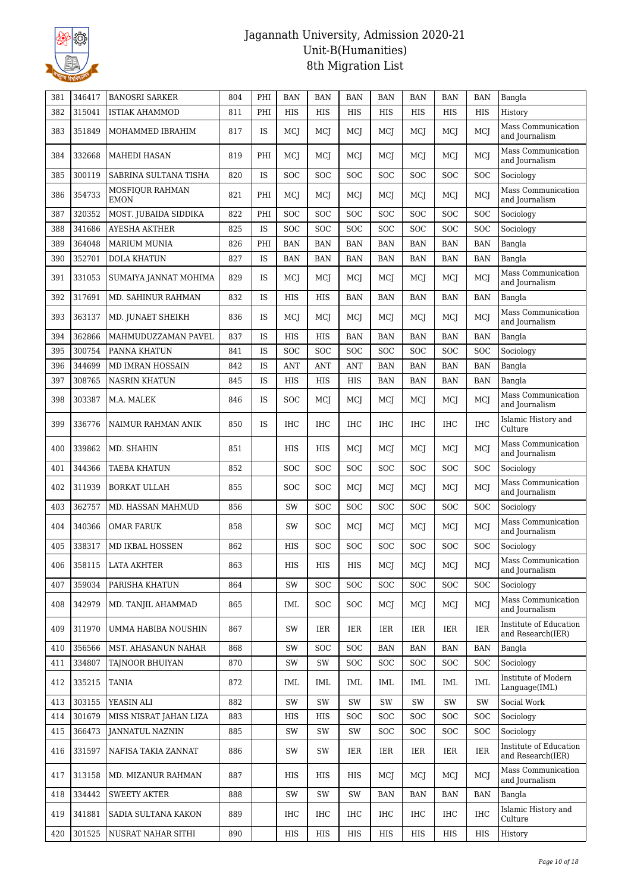

| 381 | 346417 | <b>BANOSRI SARKER</b>          | 804 | PHI       | <b>BAN</b> | <b>BAN</b> | <b>BAN</b> | <b>BAN</b> | <b>BAN</b> | <b>BAN</b> | <b>BAN</b> | Bangla                                      |
|-----|--------|--------------------------------|-----|-----------|------------|------------|------------|------------|------------|------------|------------|---------------------------------------------|
| 382 | 315041 | <b>ISTIAK AHAMMOD</b>          | 811 | PHI       | HIS        | HIS        | HIS        | HIS        | <b>HIS</b> | HIS        | HIS        | History                                     |
| 383 | 351849 | MOHAMMED IBRAHIM               | 817 | <b>IS</b> | MCJ        | MCJ        | MCJ        | MCI        | MCJ        | MCJ        | MCJ        | Mass Communication<br>and Journalism        |
| 384 | 332668 | MAHEDI HASAN                   | 819 | PHI       | MCJ        | MCI        | MCJ        | MCJ        | MCI        | MCJ        | MCJ        | Mass Communication<br>and Journalism        |
| 385 | 300119 | SABRINA SULTANA TISHA          | 820 | IS        | SOC        | SOC        | SOC        | SOC        | SOC        | SOC        | SOC        | Sociology                                   |
| 386 | 354733 | MOSFIOUR RAHMAN<br><b>EMON</b> | 821 | PHI       | MCI        | MCJ        | MCJ        | MCI        | MCI        | MCI        | MCJ        | Mass Communication<br>and Journalism        |
| 387 | 320352 | MOST. JUBAIDA SIDDIKA          | 822 | PHI       | SOC        | <b>SOC</b> | <b>SOC</b> | SOC        | <b>SOC</b> | <b>SOC</b> | SOC        | Sociology                                   |
| 388 | 341686 | AYESHA AKTHER                  | 825 | IS        | SOC        | SOC        | SOC        | SOC        | SOC        | <b>SOC</b> | SOC        | Sociology                                   |
| 389 | 364048 | <b>MARIUM MUNIA</b>            | 826 | PHI       | <b>BAN</b> | <b>BAN</b> | <b>BAN</b> | <b>BAN</b> | <b>BAN</b> | <b>BAN</b> | <b>BAN</b> | Bangla                                      |
| 390 | 352701 | <b>DOLA KHATUN</b>             | 827 | IS        | <b>BAN</b> | <b>BAN</b> | <b>BAN</b> | <b>BAN</b> | <b>BAN</b> | <b>BAN</b> | <b>BAN</b> | Bangla                                      |
| 391 | 331053 | SUMAIYA JANNAT MOHIMA          | 829 | <b>IS</b> | MCI        | MCJ        | MCJ        | MCI        | MCI        | MCJ        | MCJ        | Mass Communication<br>and Journalism        |
| 392 | 317691 | MD. SAHINUR RAHMAN             | 832 | IS        | <b>HIS</b> | HIS        | <b>BAN</b> | <b>BAN</b> | <b>BAN</b> | <b>BAN</b> | <b>BAN</b> | Bangla                                      |
| 393 | 363137 | MD. JUNAET SHEIKH              | 836 | IS        | MCJ        | MCJ        | MCJ        | MCJ        | MCI        | MCJ        | MCJ        | Mass Communication<br>and Journalism        |
| 394 | 362866 | MAHMUDUZZAMAN PAVEL            | 837 | IS        | HIS        | HIS        | <b>BAN</b> | <b>BAN</b> | <b>BAN</b> | <b>BAN</b> | <b>BAN</b> | Bangla                                      |
| 395 | 300754 | PANNA KHATUN                   | 841 | IS        | SOC        | SOC        | SOC        | SOC        | SOC        | <b>SOC</b> | SOC        | Sociology                                   |
| 396 | 344699 | MD IMRAN HOSSAIN               | 842 | IS        | ANT        | <b>ANT</b> | <b>ANT</b> | <b>BAN</b> | <b>BAN</b> | <b>BAN</b> | <b>BAN</b> | Bangla                                      |
| 397 | 308765 | <b>NASRIN KHATUN</b>           | 845 | IS        | HIS        | HIS        | HIS        | <b>BAN</b> | <b>BAN</b> | <b>BAN</b> | <b>BAN</b> | Bangla                                      |
| 398 | 303387 | M.A. MALEK                     | 846 | <b>IS</b> | SOC        | MCJ        | MCJ        | MCI        | MCI        | MCJ        | MCJ        | Mass Communication<br>and Journalism        |
| 399 | 336776 | NAIMUR RAHMAN ANIK             | 850 | <b>IS</b> | IHC        | <b>IHC</b> | <b>IHC</b> | IHC        | <b>IHC</b> | <b>IHC</b> | <b>IHC</b> | Islamic History and<br>Culture              |
| 400 | 339862 | MD. SHAHIN                     | 851 |           | <b>HIS</b> | <b>HIS</b> | MCJ        | MCJ        | MCI        | MCJ        | MCJ        | Mass Communication<br>and Journalism        |
| 401 | 344366 | TAEBA KHATUN                   | 852 |           | SOC        | SOC        | <b>SOC</b> | SOC        | SOC        | <b>SOC</b> | SOC        | Sociology                                   |
| 402 | 311939 | <b>BORKAT ULLAH</b>            | 855 |           | SOC        | <b>SOC</b> | MCJ        | MCI        | MCI        | MCJ        | MCJ        | Mass Communication<br>and Journalism        |
| 403 | 362757 | MD. HASSAN MAHMUD              | 856 |           | SW         | <b>SOC</b> | <b>SOC</b> | SOC        | SOC        | <b>SOC</b> | SOC        | Sociology                                   |
| 404 | 340366 | OMAR FARUK                     | 858 |           | SW         | <b>SOC</b> | MCJ        | MCI        | MCI        | MCJ        | MCJ        | Mass Communication<br>and Journalism        |
| 405 | 338317 | <b>MD IKBAL HOSSEN</b>         | 862 |           | <b>HIS</b> | SOC        | <b>SOC</b> | SOC        | SOC        | SOC        | <b>SOC</b> | Sociology                                   |
| 406 | 358115 | <b>LATA AKHTER</b>             | 863 |           | HIS        | HIS        | HIS        | MCJ        | MCJ        | MCJ        | MCJ        | Mass Communication<br>and Journalism        |
| 407 | 359034 | PARISHA KHATUN                 | 864 |           | SW         | SOC        | SOC        | SOC        | <b>SOC</b> | <b>SOC</b> | SOC        | Sociology                                   |
| 408 | 342979 | MD. TANJIL AHAMMAD             | 865 |           | IML        | <b>SOC</b> | <b>SOC</b> | MCI        | MCJ        | MCJ        | MCJ        | Mass Communication<br>and Journalism        |
| 409 | 311970 | UMMA HABIBA NOUSHIN            | 867 |           | SW         | IER        | IER        | IER        | IER        | <b>IER</b> | IER        | Institute of Education<br>and Research(IER) |
| 410 | 356566 | MST. AHASANUN NAHAR            | 868 |           | SW         | <b>SOC</b> | <b>SOC</b> | <b>BAN</b> | BAN        | BAN        | <b>BAN</b> | Bangla                                      |
| 411 | 334807 | TAJNOOR BHUIYAN                | 870 |           | SW         | SW         | SOC        | <b>SOC</b> | <b>SOC</b> | <b>SOC</b> | SOC        | Sociology                                   |
| 412 | 335215 | <b>TANIA</b>                   | 872 |           | IML        | IML        | IML        | IML        | IML        | IML        | <b>IML</b> | Institute of Modern<br>Language(IML)        |
| 413 | 303155 | YEASIN ALI                     | 882 |           | SW         | SW         | SW         | SW         | SW         | SW         | SW         | Social Work                                 |
| 414 | 301679 | MISS NISRAT JAHAN LIZA         | 883 |           | HIS        | HIS        | <b>SOC</b> | <b>SOC</b> | <b>SOC</b> | <b>SOC</b> | <b>SOC</b> | Sociology                                   |
| 415 | 366473 | <b>JANNATUL NAZNIN</b>         | 885 |           | SW         | SW         | SW         | <b>SOC</b> | <b>SOC</b> | <b>SOC</b> | SOC        | Sociology                                   |
| 416 | 331597 | NAFISA TAKIA ZANNAT            | 886 |           | SW         | SW         | IER        | IER        | IER        | <b>IER</b> | IER        | Institute of Education<br>and Research(IER) |
| 417 | 313158 | MD. MIZANUR RAHMAN             | 887 |           | HIS        | HIS        | HIS        | MCJ        | MCJ        | MCJ        | MCJ        | Mass Communication<br>and Journalism        |
| 418 | 334442 | <b>SWEETY AKTER</b>            | 888 |           | SW         | SW         | SW         | BAN        | BAN        | BAN        | <b>BAN</b> | Bangla                                      |
| 419 | 341881 | SADIA SULTANA KAKON            | 889 |           | IHC        | IHC        | IHC        | IHC        | IHC        | IHC        | IHC        | Islamic History and<br>Culture              |
| 420 | 301525 | NUSRAT NAHAR SITHI             | 890 |           | HIS        | HIS        | HIS        | HIS        | HIS        | HIS        | HIS        | History                                     |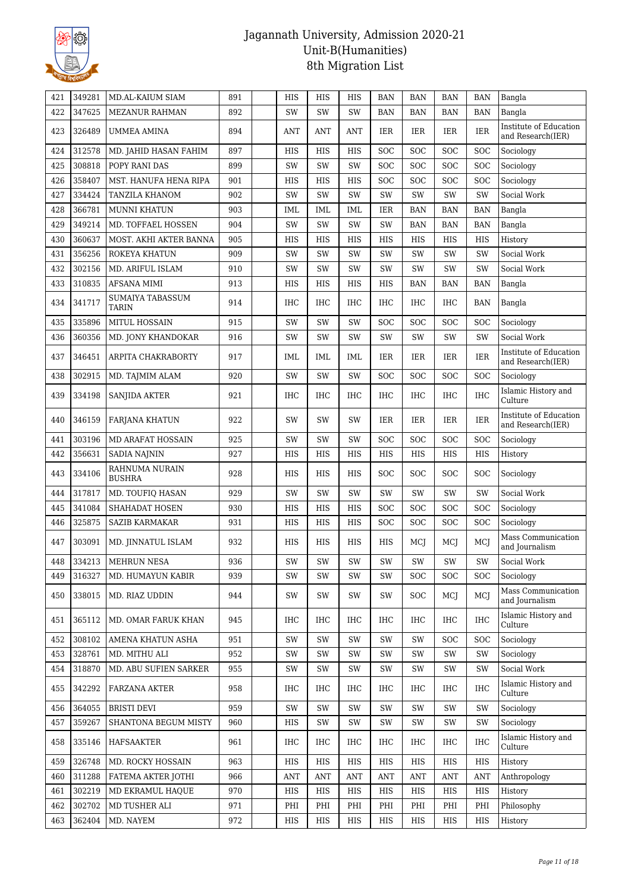

| 421 | 349281 | MD.AL-KAIUM SIAM                 | 891 | HIS        | HIS        | HIS                | <b>BAN</b>         | <b>BAN</b> | <b>BAN</b> | <b>BAN</b>    | Bangla                                      |
|-----|--------|----------------------------------|-----|------------|------------|--------------------|--------------------|------------|------------|---------------|---------------------------------------------|
| 422 | 347625 | <b>MEZANUR RAHMAN</b>            | 892 | SW         | SW         | SW                 | <b>BAN</b>         | <b>BAN</b> | <b>BAN</b> | <b>BAN</b>    | Bangla                                      |
| 423 | 326489 | UMMEA AMINA                      | 894 | <b>ANT</b> | <b>ANT</b> | <b>ANT</b>         | IER                | <b>IER</b> | IER        | <b>IER</b>    | Institute of Education<br>and Research(IER) |
| 424 | 312578 | MD. JAHID HASAN FAHIM            | 897 | <b>HIS</b> | <b>HIS</b> | <b>HIS</b>         | SOC                | SOC        | SOC        | SOC           | Sociology                                   |
| 425 | 308818 | POPY RANI DAS                    | 899 | SW         | SW         | SW                 | SOC                | <b>SOC</b> | <b>SOC</b> | <b>SOC</b>    | Sociology                                   |
| 426 | 358407 | MST. HANUFA HENA RIPA            | 901 | HIS        | <b>HIS</b> | HIS                | SOC                | SOC        | <b>SOC</b> | SOC           | Sociology                                   |
| 427 | 334424 | TANZILA KHANOM                   | 902 | SW         | SW         | SW                 | SW                 | SW         | SW         | SW            | Social Work                                 |
| 428 | 366781 | <b>MUNNI KHATUN</b>              | 903 | IML        | IML        | IML                | IER                | <b>BAN</b> | <b>BAN</b> | <b>BAN</b>    | Bangla                                      |
| 429 | 349214 | MD. TOFFAEL HOSSEN               | 904 | SW         | SW         | SW                 | SW                 | <b>BAN</b> | <b>BAN</b> | <b>BAN</b>    | Bangla                                      |
| 430 | 360637 | MOST. AKHI AKTER BANNA           | 905 | HIS        | HIS        | HIS                | <b>HIS</b>         | HIS        | HIS        | HIS           | History                                     |
| 431 | 356256 | ROKEYA KHATUN                    | 909 | SW         | SW         | SW                 | SW                 | <b>SW</b>  | SW         | SW            | Social Work                                 |
| 432 | 302156 | MD. ARIFUL ISLAM                 | 910 | SW         | SW         | SW                 | SW                 | SW         | SW         | SW            | Social Work                                 |
| 433 | 310835 | <b>AFSANA MIMI</b>               | 913 | HIS        | HIS        | HIS                | HIS                | <b>BAN</b> | <b>BAN</b> | <b>BAN</b>    | Bangla                                      |
| 434 | 341717 | SUMAIYA TABASSUM<br><b>TARIN</b> | 914 | IHC        | <b>IHC</b> | <b>IHC</b>         | <b>IHC</b>         | <b>IHC</b> | <b>IHC</b> | <b>BAN</b>    | Bangla                                      |
| 435 | 335896 | MITUL HOSSAIN                    | 915 | <b>SW</b>  | SW         | SW                 | <b>SOC</b>         | SOC        | <b>SOC</b> | SOC           | Sociology                                   |
| 436 | 360356 | MD. JONY KHANDOKAR               | 916 | SW         | SW         | SW                 | SW                 | SW         | SW         | SW            | Social Work                                 |
| 437 | 346451 | ARPITA CHAKRABORTY               | 917 | IML        | <b>IML</b> | IML                | IER                | IER        | IER        | IER           | Institute of Education<br>and Research(IER) |
| 438 | 302915 | MD. TAJMIM ALAM                  | 920 | SW         | SW         | SW                 | <b>SOC</b>         | SOC        | <b>SOC</b> | SOC           | Sociology                                   |
| 439 | 334198 | SANJIDA AKTER                    | 921 | IHC        | <b>IHC</b> | <b>IHC</b>         | IHC                | IHC        | IHC        | <b>IHC</b>    | Islamic History and<br>Culture              |
| 440 | 346159 | FARJANA KHATUN                   | 922 | SW         | SW         | SW                 | IER                | IER        | IER        | IER           | Institute of Education<br>and Research(IER) |
| 441 | 303196 | MD ARAFAT HOSSAIN                | 925 | SW         | SW         | SW                 | <b>SOC</b>         | SOC        | <b>SOC</b> | <b>SOC</b>    | Sociology                                   |
| 442 | 356631 | <b>SADIA NAJNIN</b>              | 927 | HIS        | HIS        | HIS                | <b>HIS</b>         | HIS        | HIS        | HIS           | History                                     |
| 443 | 334106 | RAHNUMA NURAIN<br><b>BUSHRA</b>  | 928 | HIS        | HIS        | HIS                | SOC                | SOC        | <b>SOC</b> | SOC           | Sociology                                   |
| 444 | 317817 | MD. TOUFIQ HASAN                 | 929 | SW         | SW         | SW                 | SW                 | SW         | SW         | SW            | Social Work                                 |
| 445 | 341084 | SHAHADAT HOSEN                   | 930 | HIS        | HIS        | <b>HIS</b>         | SOC                | SOC        | <b>SOC</b> | <b>SOC</b>    | Sociology                                   |
| 446 | 325875 | <b>SAZIB KARMAKAR</b>            | 931 | HIS        | HIS        | HIS                | <b>SOC</b>         | <b>SOC</b> | <b>SOC</b> | <b>SOC</b>    | Sociology                                   |
| 447 | 303091 | MD. JINNATUL ISLAM               | 932 | HIS        | HIS        | HIS                | HIS                | MCJ        | MCJ        | MCJ           | Mass Communication<br>and Journalism        |
| 448 | 334213 | MEHRUN NESA                      | 936 | SW         | SW         | $\text{SW}\xspace$ | $\text{SW}\xspace$ | SW         | SW         | $\mathrm{SW}$ | Social Work                                 |
| 449 | 316327 | MD. HUMAYUN KABIR                | 939 | SW         | SW         | SW                 | SW                 | <b>SOC</b> | <b>SOC</b> | <b>SOC</b>    | Sociology                                   |
| 450 | 338015 | MD. RIAZ UDDIN                   | 944 | SW         | SW         | SW                 | SW                 | SOC        | MCJ        | MCJ           | Mass Communication<br>and Journalism        |
| 451 | 365112 | MD. OMAR FARUK KHAN              | 945 | IHC        | IHC        | IHC                | IHC                | IHC        | <b>IHC</b> | <b>IHC</b>    | Islamic History and<br>Culture              |
| 452 | 308102 | AMENA KHATUN ASHA                | 951 | SW         | SW         | SW                 | SW                 | SW         | <b>SOC</b> | <b>SOC</b>    | Sociology                                   |
| 453 | 328761 | MD. MITHU ALI                    | 952 | SW         | SW         | SW                 | SW                 | SW         | SW         | SW            | Sociology                                   |
| 454 | 318870 | MD. ABU SUFIEN SARKER            | 955 | SW         | SW         | SW                 | SW                 | SW         | SW         | SW            | Social Work                                 |
| 455 | 342292 | FARZANA AKTER                    | 958 | IHC        | IHC        | IHC                | IHC                | IHC        | IHC        | <b>IHC</b>    | Islamic History and<br>Culture              |
| 456 | 364055 | <b>BRISTI DEVI</b>               | 959 | SW         | SW         | SW                 | SW                 | SW         | SW         | SW            | Sociology                                   |
| 457 | 359267 | SHANTONA BEGUM MISTY             | 960 | HIS        | SW         | SW                 | SW                 | SW         | SW         | SW            | Sociology                                   |
| 458 | 335146 | HAFSAAKTER                       | 961 | IHC        | <b>IHC</b> | <b>IHC</b>         | IHC                | IHC        | <b>IHC</b> | <b>IHC</b>    | Islamic History and<br>Culture              |
| 459 | 326748 | MD. ROCKY HOSSAIN                | 963 | HIS        | HIS        | HIS                | HIS                | HIS        | HIS        | HIS           | History                                     |
| 460 | 311288 | FATEMA AKTER JOTHI               | 966 | ANT        | ANT        | ANT                | <b>ANT</b>         | ANT        | ANT        | ANT           | Anthropology                                |
| 461 | 302219 | MD EKRAMUL HAQUE                 | 970 | HIS        | HIS        | HIS                | HIS                | HIS        | HIS        | HIS           | History                                     |
| 462 | 302702 | MD TUSHER ALI                    | 971 | PHI        | PHI        | PHI                | PHI                | PHI        | PHI        | PHI           | Philosophy                                  |
| 463 | 362404 | MD. NAYEM                        | 972 | HIS        | HIS        | HIS                | HIS                | HIS        | HIS        | HIS           | History                                     |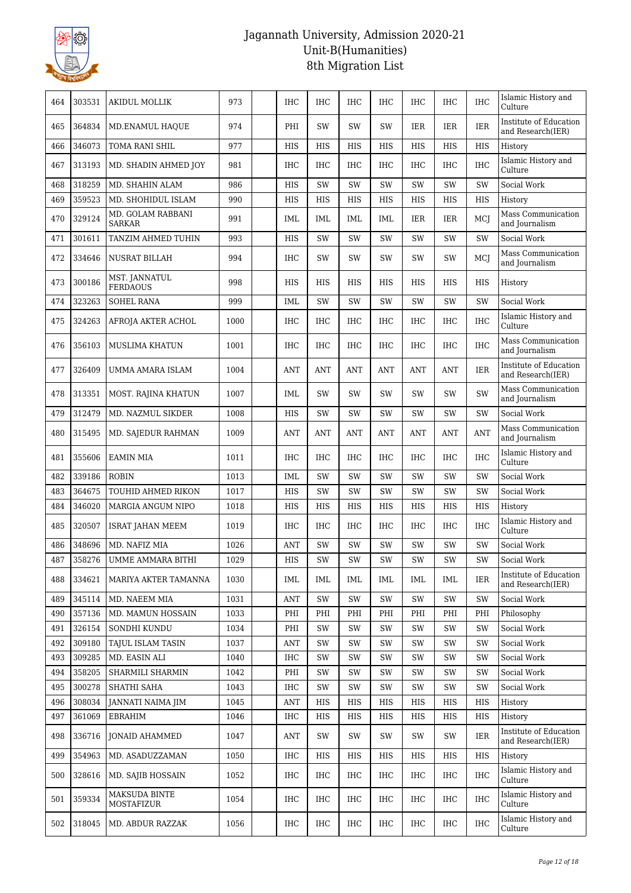

| 464 | 303531 | AKIDUL MOLLIK                      | 973  | <b>IHC</b> | <b>IHC</b> | <b>IHC</b> | <b>IHC</b> | <b>IHC</b> | <b>IHC</b> | <b>IHC</b> | Islamic History and<br>Culture              |
|-----|--------|------------------------------------|------|------------|------------|------------|------------|------------|------------|------------|---------------------------------------------|
| 465 | 364834 | MD.ENAMUL HAQUE                    | 974  | PHI        | SW         | <b>SW</b>  | SW         | <b>IER</b> | <b>IER</b> | <b>IER</b> | Institute of Education<br>and Research(IER) |
| 466 | 346073 | TOMA RANI SHIL                     | 977  | <b>HIS</b> | <b>HIS</b> | <b>HIS</b> | <b>HIS</b> | <b>HIS</b> | <b>HIS</b> | <b>HIS</b> | History                                     |
| 467 | 313193 | MD. SHADIN AHMED JOY               | 981  | <b>IHC</b> | IHC        | <b>IHC</b> | <b>IHC</b> | <b>IHC</b> | <b>IHC</b> | IHC        | Islamic History and<br>Culture              |
| 468 | 318259 | MD. SHAHIN ALAM                    | 986  | HIS        | SW         | SW         | SW         | SW         | SW         | SW         | Social Work                                 |
| 469 | 359523 | MD. SHOHIDUL ISLAM                 | 990  | HIS        | HIS        | HIS        | HIS        | HIS        | HIS        | HIS        | History                                     |
| 470 | 329124 | MD. GOLAM RABBANI<br><b>SARKAR</b> | 991  | IML        | IML        | IML        | IML        | <b>IER</b> | <b>IER</b> | MCJ        | Mass Communication<br>and Journalism        |
| 471 | 301611 | TANZIM AHMED TUHIN                 | 993  | HIS        | SW         | SW         | SW         | <b>SW</b>  | SW         | SW         | Social Work                                 |
| 472 | 334646 | NUSRAT BILLAH                      | 994  | <b>IHC</b> | SW         | SW         | SW         | SW         | SW         | MCI        | Mass Communication<br>and Journalism        |
| 473 | 300186 | MST. JANNATUL<br><b>FERDAOUS</b>   | 998  | HIS        | HIS        | HIS        | HIS        | <b>HIS</b> | HIS        | HIS        | History                                     |
| 474 | 323263 | <b>SOHEL RANA</b>                  | 999  | IML        | SW         | SW         | SW         | SW         | SW         | SW         | Social Work                                 |
| 475 | 324263 | AFROJA AKTER ACHOL                 | 1000 | <b>IHC</b> | <b>IHC</b> | <b>IHC</b> | IHC        | <b>IHC</b> | <b>IHC</b> | <b>IHC</b> | Islamic History and<br>Culture              |
| 476 | 356103 | <b>MUSLIMA KHATUN</b>              | 1001 | <b>IHC</b> | <b>IHC</b> | <b>IHC</b> | <b>IHC</b> | <b>IHC</b> | <b>IHC</b> | <b>IHC</b> | Mass Communication<br>and Journalism        |
| 477 | 326409 | UMMA AMARA ISLAM                   | 1004 | <b>ANT</b> | <b>ANT</b> | <b>ANT</b> | <b>ANT</b> | <b>ANT</b> | <b>ANT</b> | <b>IER</b> | Institute of Education<br>and Research(IER) |
| 478 | 313351 | MOST. RAJINA KHATUN                | 1007 | IML        | SW         | SW         | SW         | SW         | SW         | SW         | Mass Communication<br>and Journalism        |
| 479 | 312479 | MD. NAZMUL SIKDER                  | 1008 | HIS        | SW         | <b>SW</b>  | SW         | <b>SW</b>  | SW         | SW         | Social Work                                 |
| 480 | 315495 | MD. SAJEDUR RAHMAN                 | 1009 | <b>ANT</b> | <b>ANT</b> | <b>ANT</b> | <b>ANT</b> | <b>ANT</b> | <b>ANT</b> | <b>ANT</b> | Mass Communication<br>and Journalism        |
| 481 | 355606 | <b>EAMIN MIA</b>                   | 1011 | <b>IHC</b> | <b>IHC</b> | <b>IHC</b> | <b>IHC</b> | <b>IHC</b> | <b>IHC</b> | IHC        | Islamic History and<br>Culture              |
| 482 | 339186 | <b>ROBIN</b>                       | 1013 | IML        | SW         | SW         | SW         | <b>SW</b>  | SW         | SW         | Social Work                                 |
| 483 | 364675 | TOUHID AHMED RIKON                 | 1017 | HIS        | SW         | SW         | SW         | SW         | SW         | SW         | Social Work                                 |
| 484 | 346020 | MARGIA ANGUM NIPO                  | 1018 | <b>HIS</b> | HIS        | <b>HIS</b> | <b>HIS</b> | HIS        | <b>HIS</b> | HIS        | History                                     |
| 485 | 320507 | <b>ISRAT JAHAN MEEM</b>            | 1019 | <b>IHC</b> | <b>IHC</b> | <b>IHC</b> | IHC        | <b>IHC</b> | <b>IHC</b> | <b>IHC</b> | Islamic History and<br>Culture              |
| 486 | 348696 | MD. NAFIZ MIA                      | 1026 | <b>ANT</b> | SW         | SW         | SW         | SW         | SW         | SW         | Social Work                                 |
| 487 | 358276 | UMME AMMARA BITHI                  | 1029 | HIS        | SW         | SW         | SW         | <b>SW</b>  | SW         | SW         | Social Work                                 |
| 488 | 334621 | MARIYA AKTER TAMANNA               | 1030 | IML        | IML        | IML        | IML        | IML        | IML        | IER        | Institute of Education<br>and Research(IER) |
| 489 | 345114 | MD. NAEEM MIA                      | 1031 | ANT        | SW         | SW         | SW         | SW         | SW         | SW         | Social Work                                 |
| 490 | 357136 | MD. MAMUN HOSSAIN                  | 1033 | PHI        | PHI        | PHI        | PHI        | PHI        | PHI        | PHI        | Philosophy                                  |
| 491 | 326154 | SONDHI KUNDU                       | 1034 | PHI        | SW         | SW         | SW         | SW         | SW         | SW         | Social Work                                 |
| 492 | 309180 | TAJUL ISLAM TASIN                  | 1037 | <b>ANT</b> | SW         | SW         | SW         | SW         | SW         | SW         | Social Work                                 |
| 493 | 309285 | MD. EASIN ALI                      | 1040 | IHC        | SW         | SW         | SW         | SW         | SW         | SW         | Social Work                                 |
| 494 | 358205 | SHARMILI SHARMIN                   | 1042 | PHI        | SW         | SW         | SW         | SW         | SW         | SW         | Social Work                                 |
| 495 | 300278 | SHATHI SAHA                        | 1043 | IHC        | SW         | SW         | SW         | SW         | SW         | SW         | Social Work                                 |
| 496 | 308034 | JANNATI NAIMA JIM                  | 1045 | <b>ANT</b> | HIS        | HIS        | HIS        | HIS        | HIS        | HIS        | History                                     |
| 497 | 361069 | <b>EBRAHIM</b>                     | 1046 | IHC        | HIS        | HIS        | HIS        | HIS        | HIS        | HIS        | History                                     |
| 498 | 336716 | JONAID AHAMMED                     | 1047 | ANT        | SW         | SW         | SW         | SW         | SW         | IER        | Institute of Education<br>and Research(IER) |
| 499 | 354963 | MD. ASADUZZAMAN                    | 1050 | <b>IHC</b> | <b>HIS</b> | HIS        | HIS        | HIS        | HIS        | HIS        | History                                     |
| 500 | 328616 | MD. SAJIB HOSSAIN                  | 1052 | IHC        | IHC        | IHC        | IHC        | <b>IHC</b> | IHC        | <b>IHC</b> | Islamic History and<br>Culture              |
| 501 | 359334 | <b>MAKSUDA BINTE</b><br>MOSTAFIZUR | 1054 | IHC        | IHC        | IHC        | <b>IHC</b> | <b>IHC</b> | IHC        | <b>IHC</b> | Islamic History and<br>Culture              |
| 502 | 318045 | MD. ABDUR RAZZAK                   | 1056 | IHC        | IHC        | IHC        | IHC        | IHC        | IHC        | IHC        | Islamic History and<br>Culture              |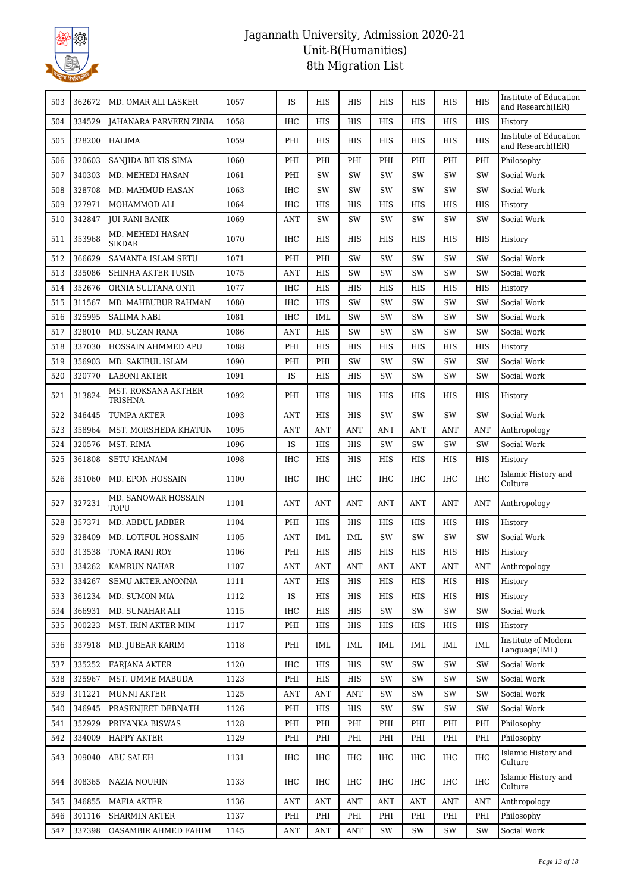

| 503 | 362672 | MD. OMAR ALI LASKER                   | 1057 | IS         | HIS        | HIS        | <b>HIS</b> | <b>HIS</b> | HIS        | <b>HIS</b> | Institute of Education<br>and Research(IER) |
|-----|--------|---------------------------------------|------|------------|------------|------------|------------|------------|------------|------------|---------------------------------------------|
| 504 | 334529 | JAHANARA PARVEEN ZINIA                | 1058 | IHC        | <b>HIS</b> | <b>HIS</b> | <b>HIS</b> | <b>HIS</b> | <b>HIS</b> | <b>HIS</b> | History                                     |
| 505 | 328200 | HALIMA                                | 1059 | PHI        | HIS        | HIS        | HIS        | HIS        | HIS        | HIS        | Institute of Education<br>and Research(IER) |
| 506 | 320603 | SANJIDA BILKIS SIMA                   | 1060 | PHI        | PHI        | PHI        | PHI        | PHI        | PHI        | PHI        | Philosophy                                  |
| 507 | 340303 | MD. MEHEDI HASAN                      | 1061 | PHI        | SW         | SW         | SW         | <b>SW</b>  | SW         | SW         | Social Work                                 |
| 508 | 328708 | MD. MAHMUD HASAN                      | 1063 | <b>IHC</b> | SW         | SW         | SW         | SW         | SW         | SW         | Social Work                                 |
| 509 | 327971 | MOHAMMOD ALI                          | 1064 | IHC        | HIS        | HIS        | HIS        | HIS        | HIS        | HIS        | History                                     |
| 510 | 342847 | <b>JUI RANI BANIK</b>                 | 1069 | <b>ANT</b> | SW         | SW         | SW         | <b>SW</b>  | SW         | SW         | Social Work                                 |
| 511 | 353968 | MD. MEHEDI HASAN<br><b>SIKDAR</b>     | 1070 | <b>IHC</b> | HIS        | HIS        | <b>HIS</b> | HIS        | <b>HIS</b> | HIS        | History                                     |
| 512 | 366629 | SAMANTA ISLAM SETU                    | 1071 | PHI        | PHI        | SW         | SW         | <b>SW</b>  | SW         | SW         | Social Work                                 |
| 513 | 335086 | SHINHA AKTER TUSIN                    | 1075 | <b>ANT</b> | HIS        | SW         | SW         | <b>SW</b>  | SW         | SW         | Social Work                                 |
| 514 | 352676 | ORNIA SULTANA ONTI                    | 1077 | <b>IHC</b> | HIS        | HIS        | HIS        | HIS        | HIS        | HIS        | History                                     |
| 515 | 311567 | MD. MAHBUBUR RAHMAN                   | 1080 | <b>IHC</b> | <b>HIS</b> | SW         | SW         | SW         | SW         | SW         | Social Work                                 |
| 516 | 325995 | <b>SALIMA NABI</b>                    | 1081 | IHC        | IML        | SW         | SW         | SW         | SW         | SW         | Social Work                                 |
| 517 | 328010 | MD. SUZAN RANA                        | 1086 | <b>ANT</b> | HIS        | SW         | SW         | SW         | SW         | SW         | Social Work                                 |
| 518 | 337030 | HOSSAIN AHMMED APU                    | 1088 | PHI        | <b>HIS</b> | <b>HIS</b> | <b>HIS</b> | <b>HIS</b> | <b>HIS</b> | HIS        | History                                     |
| 519 | 356903 | MD. SAKIBUL ISLAM                     | 1090 | PHI        | PHI        | SW         | <b>SW</b>  | SW         | SW         | SW         | Social Work                                 |
| 520 | 320770 | <b>LABONI AKTER</b>                   | 1091 | IS         | HIS        | HIS        | SW         | SW         | SW         | SW         | Social Work                                 |
| 521 | 313824 | MST. ROKSANA AKTHER<br><b>TRISHNA</b> | 1092 | PHI        | HIS        | HIS        | HIS        | <b>HIS</b> | <b>HIS</b> | HIS        | History                                     |
| 522 | 346445 | TUMPA AKTER                           | 1093 | <b>ANT</b> | HIS        | HIS        | SW         | <b>SW</b>  | SW         | SW         | Social Work                                 |
| 523 | 358964 | MST. MORSHEDA KHATUN                  | 1095 | <b>ANT</b> | <b>ANT</b> | <b>ANT</b> | <b>ANT</b> | ANT        | <b>ANT</b> | <b>ANT</b> | Anthropology                                |
| 524 | 320576 | MST. RIMA                             | 1096 | IS         | HIS        | HIS        | SW         | SW         | SW         | SW         | Social Work                                 |
| 525 | 361808 | <b>SETU KHANAM</b>                    | 1098 | IHC        | HIS        | HIS        | HIS        | HIS        | HIS        | HIS        | History                                     |
| 526 | 351060 | MD. EPON HOSSAIN                      | 1100 | IHC        | <b>IHC</b> | <b>IHC</b> | <b>IHC</b> | IHC        | <b>IHC</b> | <b>IHC</b> | Islamic History and<br>Culture              |
| 527 | 327231 | MD. SANOWAR HOSSAIN<br><b>TOPU</b>    | 1101 | <b>ANT</b> | <b>ANT</b> | <b>ANT</b> | <b>ANT</b> | <b>ANT</b> | <b>ANT</b> | ANT        | Anthropology                                |
| 528 | 357371 | MD. ABDUL JABBER                      | 1104 | PHI        | HIS        | HIS        | <b>HIS</b> | HIS        | HIS        | HIS        | History                                     |
| 529 | 328409 | MD. LOTIFUL HOSSAIN                   | 1105 | <b>ANT</b> | <b>IML</b> | <b>IML</b> | SW         | SW         | SW         | SW         | Social Work                                 |
| 530 | 313538 | TOMA RANI ROY                         | 1106 | PHI        | <b>HIS</b> | <b>HIS</b> | <b>HIS</b> | <b>HIS</b> | <b>HIS</b> | HIS        | History                                     |
| 531 | 334262 | KAMRUN NAHAR                          | 1107 | ANT        | ANT        | ANT        | ANT        | ANT        | ANT        | ANT        | Anthropology                                |
| 532 | 334267 | <b>SEMU AKTER ANONNA</b>              | 1111 | ANT        | HIS        | HIS        | HIS        | HIS        | HIS        | HIS        | History                                     |
| 533 | 361234 | MD. SUMON MIA                         | 1112 | IS         | HIS        | HIS        | HIS        | HIS        | HIS        | <b>HIS</b> | History                                     |
| 534 | 366931 | MD. SUNAHAR ALI                       | 1115 | IHC        | HIS        | HIS        | SW         | SW         | SW         | SW         | Social Work                                 |
| 535 | 300223 | MST. IRIN AKTER MIM                   | 1117 | PHI        | HIS        | HIS        | HIS        | HIS        | HIS        | HIS        | History                                     |
| 536 | 337918 | MD. JUBEAR KARIM                      | 1118 | PHI        | IML        | IML        | IML        | IML        | IML        | <b>IML</b> | Institute of Modern<br>Language(IML)        |
| 537 | 335252 | <b>FARJANA AKTER</b>                  | 1120 | IHC        | HIS        | HIS        | SW         | SW         | SW         | SW         | Social Work                                 |
| 538 | 325967 | MST. UMME MABUDA                      | 1123 | PHI        | HIS        | HIS        | SW         | SW         | SW         | SW         | Social Work                                 |
| 539 | 311221 | <b>MUNNI AKTER</b>                    | 1125 | ANT        | ANT        | <b>ANT</b> | SW         | SW         | SW         | SW         | Social Work                                 |
| 540 | 346945 | PRASENJEET DEBNATH                    | 1126 | PHI        | HIS        | HIS        | SW         | SW         | SW         | SW         | Social Work                                 |
| 541 | 352929 | PRIYANKA BISWAS                       | 1128 | PHI        | PHI        | PHI        | PHI        | PHI        | PHI        | PHI        | Philosophy                                  |
| 542 | 334009 | <b>HAPPY AKTER</b>                    | 1129 | PHI        | PHI        | PHI        | PHI        | PHI        | PHI        | PHI        | Philosophy                                  |
| 543 | 309040 | <b>ABU SALEH</b>                      | 1131 | IHC        | IHC        | IHC        | IHC        | IHC        | IHC        | IHC        | Islamic History and<br>Culture              |
| 544 | 308365 | NAZIA NOURIN                          | 1133 | <b>IHC</b> | <b>IHC</b> | IHC        | IHC        | IHC        | <b>IHC</b> | <b>IHC</b> | Islamic History and<br>Culture              |
| 545 | 346855 | <b>MAFIA AKTER</b>                    | 1136 | ANT        | ANT        | ANT        | <b>ANT</b> | ANT        | <b>ANT</b> | ANT        | Anthropology                                |
| 546 | 301116 | <b>SHARMIN AKTER</b>                  | 1137 | PHI        | PHI        | PHI        | PHI        | PHI        | PHI        | PHI        | Philosophy                                  |
|     |        |                                       |      |            |            |            |            |            |            |            |                                             |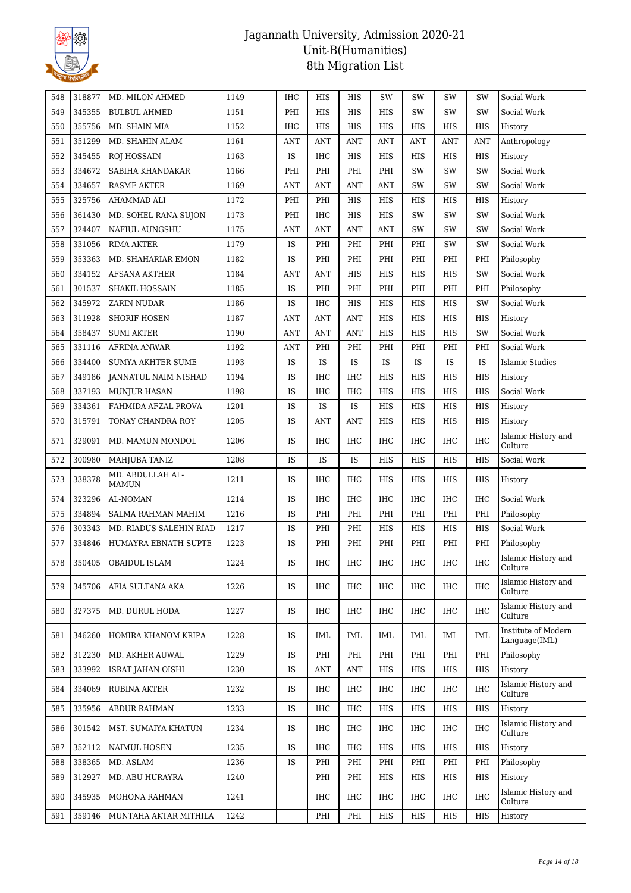

| 548 | 318877 | MD. MILON AHMED                  | 1149 | IHC        | HIS        | HIS        | SW         | SW         | SW         | SW         | Social Work                          |
|-----|--------|----------------------------------|------|------------|------------|------------|------------|------------|------------|------------|--------------------------------------|
| 549 | 345355 | <b>BULBUL AHMED</b>              | 1151 | PHI        | <b>HIS</b> | <b>HIS</b> | <b>HIS</b> | <b>SW</b>  | SW         | SW         | Social Work                          |
| 550 | 355756 | MD. SHAIN MIA                    | 1152 | <b>IHC</b> | HIS        | HIS        | HIS        | HIS        | HIS        | HIS        | History                              |
| 551 | 351299 | MD. SHAHIN ALAM                  | 1161 | <b>ANT</b> | <b>ANT</b> | ANT        | <b>ANT</b> | <b>ANT</b> | <b>ANT</b> | ANT        | Anthropology                         |
| 552 | 345455 | <b>ROJ HOSSAIN</b>               | 1163 | IS         | <b>IHC</b> | HIS        | <b>HIS</b> | HIS        | <b>HIS</b> | <b>HIS</b> | History                              |
| 553 | 334672 | SABIHA KHANDAKAR                 | 1166 | PHI        | PHI        | PHI        | PHI        | SW         | SW         | SW         | Social Work                          |
| 554 | 334657 | <b>RASME AKTER</b>               | 1169 | <b>ANT</b> | <b>ANT</b> | <b>ANT</b> | <b>ANT</b> | SW         | SW         | SW         | Social Work                          |
| 555 | 325756 | AHAMMAD ALI                      | 1172 | PHI        | PHI        | HIS        | HIS        | HIS        | HIS        | HIS        | History                              |
| 556 | 361430 | MD. SOHEL RANA SUJON             | 1173 | PHI        | <b>IHC</b> | <b>HIS</b> | HIS        | SW         | SW         | SW         | Social Work                          |
| 557 | 324407 | NAFIUL AUNGSHU                   | 1175 | <b>ANT</b> | <b>ANT</b> | ANT        | <b>ANT</b> | SW         | SW         | SW         | Social Work                          |
| 558 | 331056 | <b>RIMA AKTER</b>                | 1179 | IS         | PHI        | PHI        | PHI        | PHI        | SW         | SW         | Social Work                          |
| 559 | 353363 | MD. SHAHARIAR EMON               | 1182 | IS         | PHI        | PHI        | PHI        | PHI        | PHI        | PHI        | Philosophy                           |
| 560 | 334152 | AFSANA AKTHER                    | 1184 | <b>ANT</b> | <b>ANT</b> | HIS        | HIS        | HIS        | <b>HIS</b> | SW         | Social Work                          |
| 561 | 301537 | SHAKIL HOSSAIN                   | 1185 | IS         | PHI        | PHI        | PHI        | PHI        | PHI        | PHI        | Philosophy                           |
| 562 | 345972 | ZARIN NUDAR                      | 1186 | IS         | <b>IHC</b> | <b>HIS</b> | <b>HIS</b> | HIS        | HIS        | SW         | Social Work                          |
| 563 | 311928 | <b>SHORIF HOSEN</b>              | 1187 | <b>ANT</b> | <b>ANT</b> | <b>ANT</b> | HIS        | HIS        | HIS        | HIS        | History                              |
| 564 | 358437 | <b>SUMI AKTER</b>                | 1190 | <b>ANT</b> | <b>ANT</b> | <b>ANT</b> | HIS        | <b>HIS</b> | <b>HIS</b> | SW         | Social Work                          |
| 565 | 331116 | <b>AFRINA ANWAR</b>              | 1192 | ANT        | PHI        | PHI        | PHI        | PHI        | PHI        | PHI        | Social Work                          |
| 566 | 334400 | <b>SUMYA AKHTER SUME</b>         | 1193 | IS         | IS         | IS         | IS         | IS         | IS         | IS         | <b>Islamic Studies</b>               |
| 567 | 349186 | JANNATUL NAIM NISHAD             | 1194 | IS         | IHC        | <b>IHC</b> | HIS        | HIS        | <b>HIS</b> | HIS        | History                              |
| 568 | 337193 | <b>MUNJUR HASAN</b>              | 1198 | IS         | <b>IHC</b> | $\rm IHC$  | <b>HIS</b> | <b>HIS</b> | <b>HIS</b> | <b>HIS</b> | Social Work                          |
| 569 | 334361 | FAHMIDA AFZAL PROVA              | 1201 | IS         | IS         | IS         | HIS        | HIS        | HIS        | HIS        | History                              |
| 570 | 315791 | TONAY CHANDRA ROY                | 1205 | IS         | <b>ANT</b> | ANT        | HIS        | HIS        | HIS        | HIS        | History                              |
| 571 | 329091 | MD. MAMUN MONDOL                 | 1206 | IS         | <b>IHC</b> | <b>IHC</b> | IHC        | <b>IHC</b> | <b>IHC</b> | <b>IHC</b> | Islamic History and<br>Culture       |
| 572 | 300980 | MAHJUBA TANIZ                    | 1208 | IS         | IS         | IS         | HIS        | HIS        | <b>HIS</b> | HIS        | Social Work                          |
| 573 | 338378 | MD. ABDULLAH AL-<br><b>MAMUN</b> | 1211 | IS         | <b>IHC</b> | IHC        | HIS        | HIS        | <b>HIS</b> | HIS        | History                              |
| 574 | 323296 | <b>AL-NOMAN</b>                  | 1214 | IS         | <b>IHC</b> | IHC        | IHC        | <b>IHC</b> | <b>IHC</b> | <b>IHC</b> | Social Work                          |
| 575 | 334894 | <b>SALMA RAHMAN MAHIM</b>        | 1216 | IS         | PHI        | PHI        | PHI        | PHI        | PHI        | PHI        | Philosophy                           |
| 576 | 303343 | MD. RIADUS SALEHIN RIAD          | 1217 | IS         | PHI        | PHI        | HIS        | HIS        | HIS        | HIS        | Social Work                          |
| 577 | 334846 | HUMAYRA EBNATH SUPTE             | 1223 | IS         | PHI        | PHI        | PHI        | PHI        | PHI        | PHI        | Philosophy                           |
| 578 |        | 350405 OBAIDUL ISLAM             | 1224 | IS         | <b>IHC</b> | $\rm IHC$  | $\rm IHC$  | $\rm IHC$  | <b>IHC</b> | <b>IHC</b> | Islamic History and<br>Culture       |
| 579 | 345706 | AFIA SULTANA AKA                 | 1226 | IS         | IHC        | <b>IHC</b> | IHC        | <b>IHC</b> | <b>IHC</b> | <b>IHC</b> | Islamic History and<br>Culture       |
| 580 | 327375 | MD. DURUL HODA                   | 1227 | IS         | IHC        | IHC        | IHC        | IHC        | IHC        | <b>IHC</b> | Islamic History and<br>Culture       |
| 581 | 346260 | HOMIRA KHANOM KRIPA              | 1228 | IS         | IML        | IML        | IML        | IML        | IML        | IML        | Institute of Modern<br>Language(IML) |
| 582 | 312230 | MD. AKHER AUWAL                  | 1229 | <b>IS</b>  | PHI        | PHI        | PHI        | PHI        | PHI        | PHI        | Philosophy                           |
| 583 | 333992 | <b>ISRAT JAHAN OISHI</b>         | 1230 | IS         | <b>ANT</b> | ANT        | HIS        | HIS        | HIS        | HIS        | History                              |
| 584 | 334069 | RUBINA AKTER                     | 1232 | IS         | IHC        | IHC        | IHC        | IHC        | IHC        | IHC        | Islamic History and<br>Culture       |
| 585 | 335956 | <b>ABDUR RAHMAN</b>              | 1233 | IS         | IHC        | IHC        | HIS        | HIS        | HIS        | HIS        | History                              |
| 586 | 301542 | MST. SUMAIYA KHATUN              | 1234 | <b>IS</b>  | IHC        | IHC        | IHC        | IHC        | IHC        | <b>IHC</b> | Islamic History and<br>Culture       |
| 587 | 352112 | NAIMUL HOSEN                     | 1235 | <b>IS</b>  | <b>IHC</b> | IHC        | HIS        | HIS        | HIS        | HIS        | History                              |
| 588 | 338365 | MD. ASLAM                        | 1236 | IS         | PHI        | PHI        | PHI        | PHI        | PHI        | PHI        | Philosophy                           |
| 589 | 312927 | MD. ABU HURAYRA                  | 1240 |            | PHI        | PHI        | HIS        | HIS        | HIS        | HIS        | History                              |
| 590 | 345935 | MOHONA RAHMAN                    | 1241 |            | IHC        | IHC        | IHC        | IHC        | IHC        | IHC        | Islamic History and<br>Culture       |
| 591 | 359146 | MUNTAHA AKTAR MITHILA            | 1242 |            | PHI        | PHI        | HIS        | HIS        | HIS        | HIS        | History                              |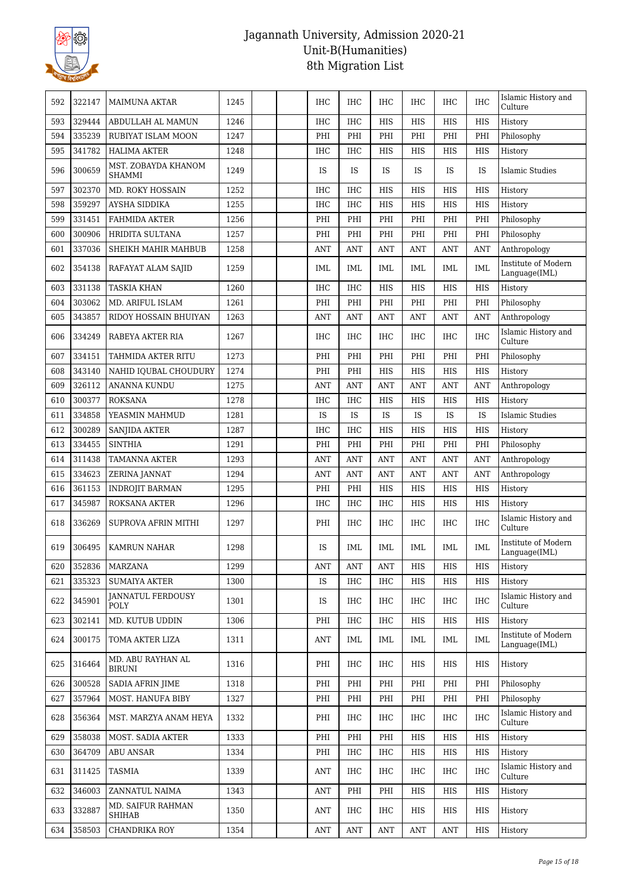

| 592 | 322147 | <b>MAIMUNA AKTAR</b>                 | 1245 | <b>IHC</b> | IHC        | IHC        | IHC        | <b>IHC</b> | <b>IHC</b> | Islamic History and<br>Culture       |
|-----|--------|--------------------------------------|------|------------|------------|------------|------------|------------|------------|--------------------------------------|
| 593 | 329444 | ABDULLAH AL MAMUN                    | 1246 | <b>IHC</b> | <b>IHC</b> | <b>HIS</b> | HIS        | <b>HIS</b> | HIS        | History                              |
| 594 | 335239 | RUBIYAT ISLAM MOON                   | 1247 | PHI        | PHI        | PHI        | PHI        | PHI        | PHI        | Philosophy                           |
| 595 | 341782 | <b>HALIMA AKTER</b>                  | 1248 | <b>IHC</b> | <b>IHC</b> | <b>HIS</b> | <b>HIS</b> | <b>HIS</b> | HIS        | History                              |
| 596 | 300659 | MST. ZOBAYDA KHANOM<br><b>SHAMMI</b> | 1249 | IS         | IS         | IS         | IS         | IS         | IS         | Islamic Studies                      |
| 597 | 302370 | <b>MD. ROKY HOSSAIN</b>              | 1252 | <b>IHC</b> | <b>IHC</b> | <b>HIS</b> | <b>HIS</b> | <b>HIS</b> | HIS        | History                              |
| 598 | 359297 | <b>AYSHA SIDDIKA</b>                 | 1255 | <b>IHC</b> | <b>IHC</b> | <b>HIS</b> | <b>HIS</b> | HIS        | HIS        | History                              |
| 599 | 331451 | <b>FAHMIDA AKTER</b>                 | 1256 | PHI        | PHI        | PHI        | PHI        | PHI        | PHI        | Philosophy                           |
| 600 | 300906 | <b>HRIDITA SULTANA</b>               | 1257 | PHI        | PHI        | PHI        | PHI        | PHI        | PHI        | Philosophy                           |
| 601 | 337036 | SHEIKH MAHIR MAHBUB                  | 1258 | <b>ANT</b> | <b>ANT</b> | ANT        | <b>ANT</b> | <b>ANT</b> | ANT        | Anthropology                         |
| 602 | 354138 | RAFAYAT ALAM SAJID                   | 1259 | IML        | <b>IML</b> | IML        | IML        | <b>IML</b> | <b>IML</b> | Institute of Modern<br>Language(IML) |
| 603 | 331138 | <b>TASKIA KHAN</b>                   | 1260 | <b>IHC</b> | <b>IHC</b> | <b>HIS</b> | <b>HIS</b> | <b>HIS</b> | <b>HIS</b> | History                              |
| 604 | 303062 | MD. ARIFUL ISLAM                     | 1261 | PHI        | PHI        | PHI        | PHI        | PHI        | PHI        | Philosophy                           |
| 605 | 343857 | RIDOY HOSSAIN BHUIYAN                | 1263 | <b>ANT</b> | <b>ANT</b> | ANT        | <b>ANT</b> | <b>ANT</b> | ANT        | Anthropology                         |
| 606 | 334249 | RABEYA AKTER RIA                     | 1267 | <b>IHC</b> | <b>IHC</b> | IHC        | IHC        | <b>IHC</b> | <b>IHC</b> | Islamic History and<br>Culture       |
| 607 | 334151 | TAHMIDA AKTER RITU                   | 1273 | PHI        | PHI        | PHI        | PHI        | PHI        | PHI        | Philosophy                           |
| 608 | 343140 | NAHID IQUBAL CHOUDURY                | 1274 | PHI        | PHI        | <b>HIS</b> | <b>HIS</b> | <b>HIS</b> | <b>HIS</b> | History                              |
| 609 | 326112 | ANANNA KUNDU                         | 1275 | <b>ANT</b> | <b>ANT</b> | <b>ANT</b> | <b>ANT</b> | <b>ANT</b> | <b>ANT</b> | Anthropology                         |
| 610 | 300377 | <b>ROKSANA</b>                       | 1278 | <b>IHC</b> | <b>IHC</b> | <b>HIS</b> | <b>HIS</b> | <b>HIS</b> | HIS        | History                              |
| 611 | 334858 | YEASMIN MAHMUD                       | 1281 | IS         | IS         | IS         | IS         | IS         | IS         | <b>Islamic Studies</b>               |
| 612 | 300289 | <b>SANJIDA AKTER</b>                 | 1287 | <b>IHC</b> | <b>IHC</b> | <b>HIS</b> | HIS        | <b>HIS</b> | HIS        | History                              |
| 613 | 334455 | <b>SINTHIA</b>                       | 1291 | PHI        | PHI        | PHI        | PHI        | PHI        | PHI        | Philosophy                           |
| 614 | 311438 | TAMANNA AKTER                        | 1293 | <b>ANT</b> | <b>ANT</b> | <b>ANT</b> | <b>ANT</b> | <b>ANT</b> | ANT        | Anthropology                         |
| 615 | 334623 | ZERINA JANNAT                        | 1294 | <b>ANT</b> | <b>ANT</b> | <b>ANT</b> | <b>ANT</b> | <b>ANT</b> | <b>ANT</b> | Anthropology                         |
| 616 | 361153 | <b>INDROJIT BARMAN</b>               | 1295 | PHI        | PHI        | <b>HIS</b> | <b>HIS</b> | <b>HIS</b> | HIS        | History                              |
| 617 | 345987 | ROKSANA AKTER                        | 1296 | <b>IHC</b> | <b>IHC</b> | IHC        | HIS        | HIS        | HIS        | History                              |
| 618 | 336269 | <b>SUPROVA AFRIN MITHI</b>           | 1297 | PHI        | <b>IHC</b> | IHC        | IHC        | <b>IHC</b> | <b>IHC</b> | Islamic History and<br>Culture       |
| 619 | 306495 | <b>KAMRUN NAHAR</b>                  | 1298 | IS         | <b>IML</b> | <b>IML</b> | <b>IML</b> | <b>IML</b> | <b>IML</b> | Institute of Modern<br>Language(IML) |
| 620 | 352836 | MARZANA                              | 1299 | ANT        | ANT        | ANT        | HIS        | HIS        | HIS        | History                              |
| 621 | 335323 | <b>SUMAIYA AKTER</b>                 | 1300 | IS         | <b>IHC</b> | IHC        | HIS        | HIS        | HIS        | History                              |
| 622 | 345901 | <b>JANNATUL FERDOUSY</b><br>POLY     | 1301 | IS         | <b>IHC</b> | IHC        | IHC        | <b>IHC</b> | <b>IHC</b> | Islamic History and<br>Culture       |
| 623 | 302141 | MD. KUTUB UDDIN                      | 1306 | PHI        | <b>IHC</b> | IHC        | HIS        | <b>HIS</b> | HIS        | History                              |
| 624 | 300175 | TOMA AKTER LIZA                      | 1311 | ANT        | IML        | IML        | IML        | IML        | <b>IML</b> | Institute of Modern<br>Language(IML) |
| 625 | 316464 | MD. ABU RAYHAN AL<br>BIRUNI          | 1316 | PHI        | <b>IHC</b> | IHC        | HIS        | HIS        | HIS        | History                              |
| 626 | 300528 | SADIA AFRIN JIME                     | 1318 | PHI        | PHI        | PHI        | PHI        | PHI        | PHI        | Philosophy                           |
| 627 | 357964 | MOST. HANUFA BIBY                    | 1327 | PHI        | PHI        | PHI        | PHI        | PHI        | PHI        | Philosophy                           |
| 628 | 356364 | MST. MARZYA ANAM HEYA                | 1332 | PHI        | IHC        | IHC        | IHC        | <b>IHC</b> | <b>IHC</b> | Islamic History and<br>Culture       |
| 629 | 358038 | MOST. SADIA AKTER                    | 1333 | PHI        | PHI        | PHI        | HIS        | HIS        | HIS        | History                              |
| 630 | 364709 | <b>ABU ANSAR</b>                     | 1334 | PHI        | IHC        | IHC        | HIS        | HIS        | HIS        | History                              |
| 631 | 311425 | TASMIA                               | 1339 | ANT        | IHC        | IHC        | IHC        | <b>IHC</b> | IHC        | Islamic History and<br>Culture       |
| 632 | 346003 | ZANNATUL NAIMA                       | 1343 | ANT        | PHI        | PHI        | HIS        | HIS        | HIS        | History                              |
| 633 | 332887 | MD. SAIFUR RAHMAN<br><b>SHIHAB</b>   | 1350 | ANT        | IHC        | IHC        | HIS        | HIS        | HIS        | History                              |
| 634 | 358503 | CHANDRIKA ROY                        | 1354 | <b>ANT</b> | <b>ANT</b> | <b>ANT</b> | <b>ANT</b> | <b>ANT</b> | HIS        | History                              |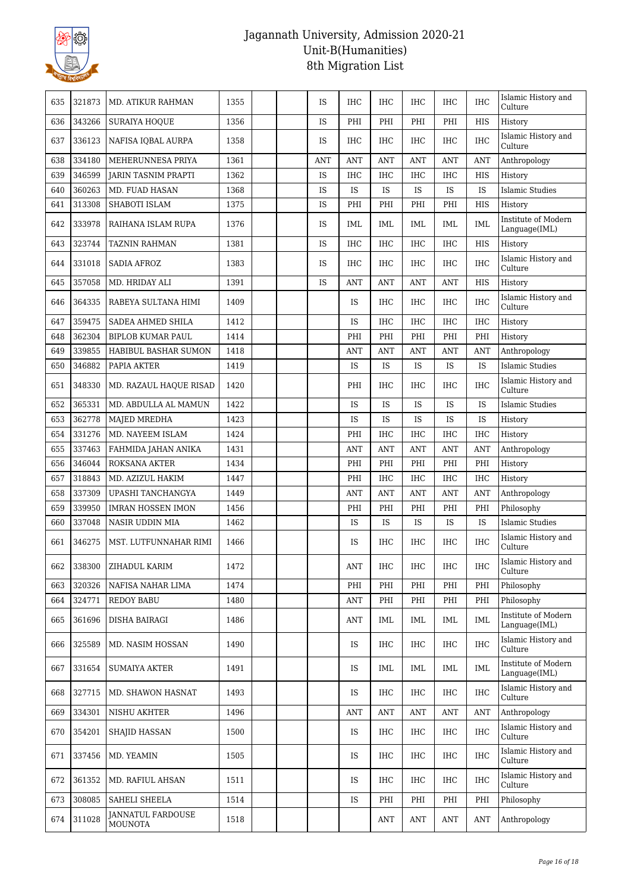

| 635 | 321873 | <b>MD. ATIKUR RAHMAN</b>                   | 1355 | <b>IS</b>  | <b>IHC</b>     | <b>IHC</b>        | <b>IHC</b> | <b>IHC</b> | <b>IHC</b> | Islamic History and<br>Culture       |
|-----|--------|--------------------------------------------|------|------------|----------------|-------------------|------------|------------|------------|--------------------------------------|
| 636 | 343266 | <b>SURAIYA HOOUE</b>                       | 1356 | <b>IS</b>  | PHI            | PHI               | PHI        | PHI        | HIS        | History                              |
| 637 | 336123 | NAFISA IQBAL AURPA                         | 1358 | IS         | <b>IHC</b>     | <b>IHC</b>        | <b>IHC</b> | <b>IHC</b> | <b>IHC</b> | Islamic History and<br>Culture       |
| 638 | 334180 | MEHERUNNESA PRIYA                          | 1361 | <b>ANT</b> | <b>ANT</b>     | <b>ANT</b>        | <b>ANT</b> | <b>ANT</b> | <b>ANT</b> | Anthropology                         |
| 639 | 346599 | <b>JARIN TASNIM PRAPTI</b>                 | 1362 | IS         | <b>IHC</b>     | <b>IHC</b>        | <b>IHC</b> | <b>IHC</b> | HIS        | History                              |
| 640 | 360263 | MD. FUAD HASAN                             | 1368 | IS         | IS             | <b>IS</b>         | <b>IS</b>  | <b>IS</b>  | <b>IS</b>  | <b>Islamic Studies</b>               |
| 641 | 313308 | SHABOTI ISLAM                              | 1375 | IS         | PHI            | PHI               | PHI        | PHI        | HIS        | History                              |
| 642 | 333978 | RAIHANA ISLAM RUPA                         | 1376 | IS         | IML            | IML               | IML        | <b>IML</b> | IML        | Institute of Modern<br>Language(IML) |
| 643 | 323744 | <b>TAZNIN RAHMAN</b>                       | 1381 | IS         | <b>IHC</b>     | <b>IHC</b>        | <b>IHC</b> | <b>IHC</b> | HIS        | History                              |
| 644 | 331018 | <b>SADIA AFROZ</b>                         | 1383 | IS         | <b>IHC</b>     | IHC               | <b>IHC</b> | <b>IHC</b> | <b>IHC</b> | Islamic History and<br>Culture       |
| 645 | 357058 | MD. HRIDAY ALI                             | 1391 | IS         | <b>ANT</b>     | <b>ANT</b>        | <b>ANT</b> | <b>ANT</b> | <b>HIS</b> | History                              |
| 646 | 364335 | RABEYA SULTANA HIMI                        | 1409 |            | IS             | IHC               | <b>IHC</b> | <b>IHC</b> | <b>IHC</b> | Islamic History and<br>Culture       |
| 647 | 359475 | SADEA AHMED SHILA                          | 1412 |            | IS             | <b>IHC</b>        | <b>IHC</b> | <b>IHC</b> | <b>IHC</b> | History                              |
| 648 | 362304 | <b>BIPLOB KUMAR PAUL</b>                   | 1414 |            | PHI            | PHI               | PHI        | PHI        | PHI        | History                              |
| 649 | 339855 | <b>HABIBUL BASHAR SUMON</b>                | 1418 |            | ANT            | <b>ANT</b>        | <b>ANT</b> | <b>ANT</b> | <b>ANT</b> | Anthropology                         |
| 650 | 346882 | PAPIA AKTER                                | 1419 |            | IS             | IS                | IS         | IS         | IS         | Islamic Studies                      |
| 651 | 348330 | MD. RAZAUL HAQUE RISAD                     | 1420 |            | PHI            | IHC               | <b>IHC</b> | <b>IHC</b> | <b>IHC</b> | Islamic History and<br>Culture       |
| 652 | 365331 | MD. ABDULLA AL MAMUN                       | 1422 |            | IS             | IS                | IS         | IS         | IS         | <b>Islamic Studies</b>               |
| 653 | 362778 | <b>MAJED MREDHA</b>                        | 1423 |            | IS             | IS                | IS         | IS         | IS         | History                              |
| 654 | 331276 | MD. NAYEEM ISLAM                           | 1424 |            | PHI            | <b>IHC</b>        | <b>IHC</b> | IHC        | <b>IHC</b> | History                              |
| 655 | 337463 | FAHMIDA JAHAN ANIKA                        | 1431 |            | <b>ANT</b>     | <b>ANT</b>        | <b>ANT</b> | <b>ANT</b> | <b>ANT</b> | Anthropology                         |
| 656 | 346044 | ROKSANA AKTER                              | 1434 |            | PHI            | PHI               | PHI        | PHI        | PHI        | History                              |
| 657 | 318843 | MD. AZIZUL HAKIM                           | 1447 |            | PHI            | <b>IHC</b>        | <b>IHC</b> | <b>IHC</b> | <b>IHC</b> | History                              |
| 658 | 337309 | UPASHI TANCHANGYA                          | 1449 |            | <b>ANT</b>     | <b>ANT</b>        | <b>ANT</b> | <b>ANT</b> | <b>ANT</b> | Anthropology                         |
| 659 | 339950 | <b>IMRAN HOSSEN IMON</b>                   | 1456 |            | PHI            | PHI               | PHI        | PHI        | PHI        | Philosophy                           |
| 660 | 337048 | <b>NASIR UDDIN MIA</b>                     | 1462 |            | IS             | IS                | IS         | IS         | IS         | <b>Islamic Studies</b>               |
| 661 | 346275 | MST. LUTFUNNAHAR RIMI                      | 1466 |            | IS             | IHC               | IHC        | <b>IHC</b> | IHC        | Islamic History and<br>Culture       |
| 662 | 338300 | ZIHADUL KARIM                              | 1472 |            | $\mathbf{ANT}$ | $_{\mathrm{IHC}}$ | $\rm IHC$  | $\rm IHC$  | $\rm IHC$  | Islamic History and<br>Culture       |
| 663 | 320326 | NAFISA NAHAR LIMA                          | 1474 |            | PHI            | PHI               | PHI        | PHI        | PHI        | Philosophy                           |
| 664 | 324771 | <b>REDOY BABU</b>                          | 1480 |            | <b>ANT</b>     | PHI               | PHI        | PHI        | PHI        | Philosophy                           |
| 665 | 361696 | DISHA BAIRAGI                              | 1486 |            | ANT            | IML               | IML        | IML        | IML        | Institute of Modern<br>Language(IML) |
| 666 | 325589 | MD. NASIM HOSSAN                           | 1490 |            | IS             | IHC               | IHC        | IHC        | IHC        | Islamic History and<br>Culture       |
| 667 | 331654 | <b>SUMAIYA AKTER</b>                       | 1491 |            | IS             | IML               | IML        | IML        | IML        | Institute of Modern<br>Language(IML) |
| 668 | 327715 | MD. SHAWON HASNAT                          | 1493 |            | IS             | IHC               | IHC        | IHC        | <b>IHC</b> | Islamic History and<br>Culture       |
| 669 | 334301 | NISHU AKHTER                               | 1496 |            | ANT            | <b>ANT</b>        | ANT        | <b>ANT</b> | <b>ANT</b> | Anthropology                         |
| 670 | 354201 | SHAJID HASSAN                              | 1500 |            | IS             | IHC               | <b>IHC</b> | IHC        | IHC        | Islamic History and<br>Culture       |
| 671 | 337456 | MD. YEAMIN                                 | 1505 |            | IS             | IHC               | <b>IHC</b> | IHC        | <b>IHC</b> | Islamic History and<br>Culture       |
| 672 | 361352 | MD. RAFIUL AHSAN                           | 1511 |            | IS             | IHC               | <b>IHC</b> | IHC        | IHC        | Islamic History and<br>Culture       |
| 673 | 308085 | SAHELI SHEELA                              | 1514 |            | IS             | PHI               | PHI        | PHI        | PHI        | Philosophy                           |
| 674 | 311028 | <b>JANNATUL FARDOUSE</b><br><b>MOUNOTA</b> | 1518 |            |                | <b>ANT</b>        | ANT        | ANT        | <b>ANT</b> | Anthropology                         |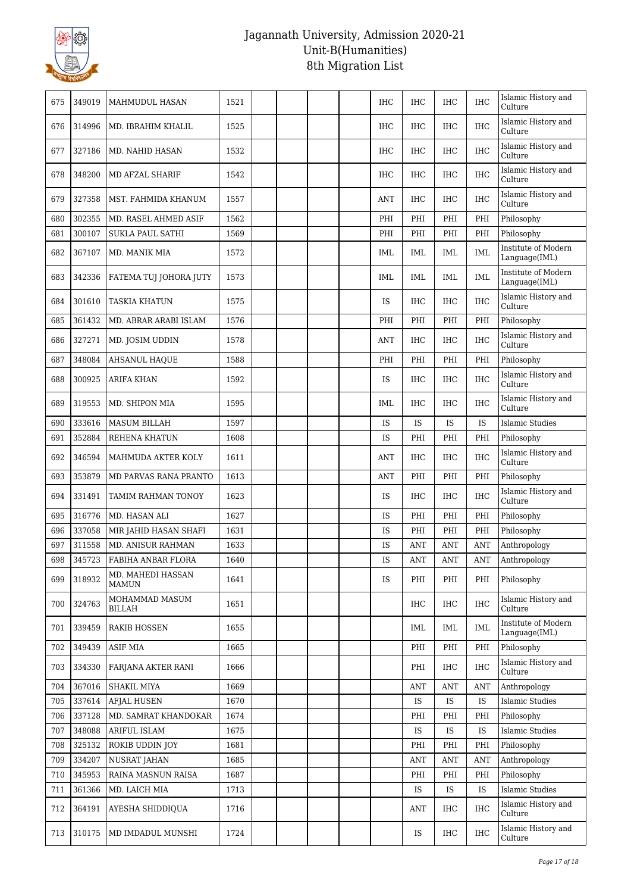

| 675 | 349019 | MAHMUDUL HASAN                    | 1521 |  | <b>IHC</b> | <b>IHC</b> | IHC        | <b>IHC</b> | Islamic History and<br>Culture       |
|-----|--------|-----------------------------------|------|--|------------|------------|------------|------------|--------------------------------------|
| 676 | 314996 | MD. IBRAHIM KHALIL                | 1525 |  | <b>IHC</b> | <b>IHC</b> | <b>IHC</b> | <b>IHC</b> | Islamic History and<br>Culture       |
| 677 | 327186 | MD. NAHID HASAN                   | 1532 |  | IHC        | <b>IHC</b> | <b>IHC</b> | <b>IHC</b> | Islamic History and<br>Culture       |
| 678 | 348200 | MD AFZAL SHARIF                   | 1542 |  | IHC        | IHC        | IHC        | <b>IHC</b> | Islamic History and<br>Culture       |
| 679 | 327358 | MST. FAHMIDA KHANUM               | 1557 |  | <b>ANT</b> | <b>IHC</b> | <b>IHC</b> | IHC        | Islamic History and<br>Culture       |
| 680 | 302355 | MD. RASEL AHMED ASIF              | 1562 |  | PHI        | PHI        | PHI        | PHI        | Philosophy                           |
| 681 | 300107 | SUKLA PAUL SATHI                  | 1569 |  | PHI        | PHI        | PHI        | PHI        | Philosophy                           |
| 682 | 367107 | MD. MANIK MIA                     | 1572 |  | <b>IML</b> | IML        | IML        | <b>IML</b> | Institute of Modern<br>Language(IML) |
| 683 | 342336 | FATEMA TUJ JOHORA JUTY            | 1573 |  | <b>IML</b> | IML        | IML        | <b>IML</b> | Institute of Modern<br>Language(IML) |
| 684 | 301610 | <b>TASKIA KHATUN</b>              | 1575 |  | IS         | <b>IHC</b> | <b>IHC</b> | <b>IHC</b> | Islamic History and<br>Culture       |
| 685 | 361432 | MD. ABRAR ARABI ISLAM             | 1576 |  | PHI        | PHI        | PHI        | PHI        | Philosophy                           |
| 686 | 327271 | MD. JOSIM UDDIN                   | 1578 |  | ANT        | <b>IHC</b> | <b>IHC</b> | <b>IHC</b> | Islamic History and<br>Culture       |
| 687 | 348084 | <b>AHSANUL HAQUE</b>              | 1588 |  | PHI        | PHI        | PHI        | PHI        | Philosophy                           |
| 688 | 300925 | <b>ARIFA KHAN</b>                 | 1592 |  | <b>IS</b>  | <b>IHC</b> | <b>IHC</b> | <b>IHC</b> | Islamic History and<br>Culture       |
| 689 | 319553 | MD. SHIPON MIA                    | 1595 |  | IML        | IHC        | <b>IHC</b> | <b>IHC</b> | Islamic History and<br>Culture       |
| 690 | 333616 | <b>MASUM BILLAH</b>               | 1597 |  | IS         | IS         | IS         | IS         | <b>Islamic Studies</b>               |
| 691 | 352884 | REHENA KHATUN                     | 1608 |  | <b>IS</b>  | PHI        | PHI        | PHI        | Philosophy                           |
| 692 | 346594 | MAHMUDA AKTER KOLY                | 1611 |  | <b>ANT</b> | <b>IHC</b> | <b>IHC</b> | <b>IHC</b> | Islamic History and<br>Culture       |
| 693 | 353879 | MD PARVAS RANA PRANTO             | 1613 |  | <b>ANT</b> | PHI        | PHI        | PHI        | Philosophy                           |
| 694 | 331491 | TAMIM RAHMAN TONOY                | 1623 |  | <b>IS</b>  | <b>IHC</b> | <b>IHC</b> | <b>IHC</b> | Islamic History and<br>Culture       |
| 695 | 316776 | MD. HASAN ALI                     | 1627 |  | IS         | PHI        | PHI        | PHI        | Philosophy                           |
| 696 | 337058 | MIR JAHID HASAN SHAFI             | 1631 |  | IS         | PHI        | PHI        | PHI        | Philosophy                           |
| 697 | 311558 | MD. ANISUR RAHMAN                 | 1633 |  | IS         | <b>ANT</b> | <b>ANT</b> | <b>ANT</b> | Anthropology                         |
| 698 | 345723 | FABIHA ANBAR FLORA                | 1640 |  | IS         | <b>ANT</b> | ANT        | <b>ANT</b> | Anthropology                         |
| 699 | 318932 | MD. MAHEDI HASSAN<br><b>MAMUN</b> | 1641 |  | IS         | PHI        | PHI        | PHI        | Philosophy                           |
| 700 | 324763 | MOHAMMAD MASUM<br>BILLAH          | 1651 |  |            | <b>IHC</b> | <b>IHC</b> | <b>IHC</b> | Islamic History and<br>Culture       |
| 701 | 339459 | <b>RAKIB HOSSEN</b>               | 1655 |  |            | IML        | IML        | IML        | Institute of Modern<br>Language(IML) |
| 702 | 349439 | ASIF MIA                          | 1665 |  |            | PHI        | PHI        | PHI        | Philosophy                           |
| 703 | 334330 | FARJANA AKTER RANI                | 1666 |  |            | PHI        | <b>IHC</b> | <b>IHC</b> | Islamic History and<br>Culture       |
| 704 | 367016 | SHAKIL MIYA                       | 1669 |  |            | <b>ANT</b> | <b>ANT</b> | <b>ANT</b> | Anthropology                         |
| 705 |        |                                   |      |  |            |            |            |            |                                      |
|     | 337614 | <b>AFJAL HUSEN</b>                | 1670 |  |            | IS         | <b>IS</b>  | <b>IS</b>  | <b>Islamic Studies</b>               |
| 706 | 337128 | MD. SAMRAT KHANDOKAR              | 1674 |  |            | PHI        | PHI        | PHI        | Philosophy                           |
| 707 | 348088 | ARIFUL ISLAM                      | 1675 |  |            | IS         | IS         | IS         | <b>Islamic Studies</b>               |
| 708 | 325132 | ROKIB UDDIN JOY                   | 1681 |  |            | PHI        | PHI        | PHI        | Philosophy                           |
| 709 | 334207 | <b>NUSRAT JAHAN</b>               | 1685 |  |            | ANT        | ANT        | <b>ANT</b> | Anthropology                         |
| 710 | 345953 | RAINA MASNUN RAISA                | 1687 |  |            | PHI        | PHI        | PHI        | Philosophy                           |
| 711 | 361366 | MD. LAICH MIA                     | 1713 |  |            | IS         | <b>IS</b>  | IS         | <b>Islamic Studies</b>               |
| 712 | 364191 | AYESHA SHIDDIQUA                  | 1716 |  |            | <b>ANT</b> | IHC        | <b>IHC</b> | Islamic History and<br>Culture       |